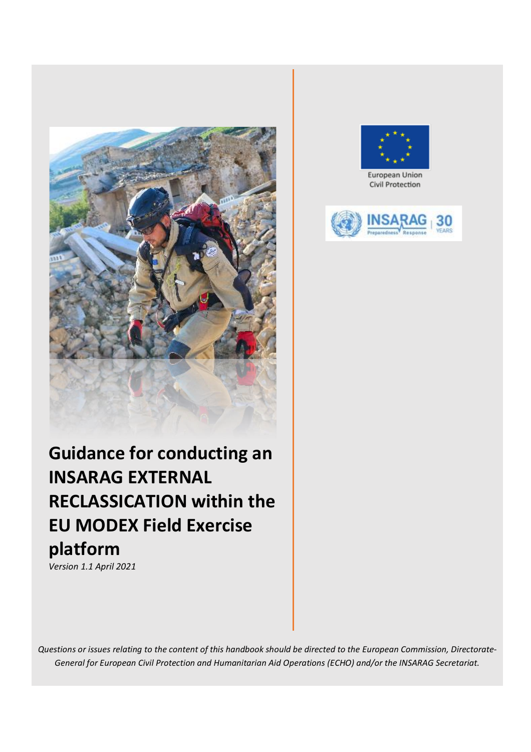



European Union Civil Protection



# **Guidance for conducting an INSARAG EXTERNAL RECLASSICATION within the EU MODEX Field Exercise platform**

*Version 1.1 April 2021*

*Questions or issues relating to the content of this handbook should be directed to the European Commission, Directorate-General for European Civil Protection and Humanitarian Aid Operations (ECHO) and/or the INSARAG Secretariat.*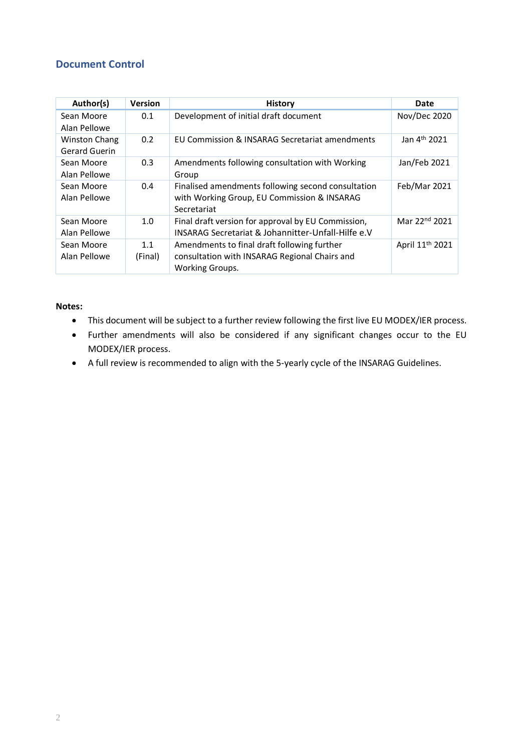# <span id="page-1-0"></span>**Document Control**

| Author(s)                             | <b>Version</b> | <b>History</b>                                                                                                         | Date                        |
|---------------------------------------|----------------|------------------------------------------------------------------------------------------------------------------------|-----------------------------|
| Sean Moore<br>Alan Pellowe            | 0.1            | Development of initial draft document                                                                                  | Nov/Dec 2020                |
| <b>Winston Chang</b><br>Gerard Guerin | 0.2            | EU Commission & INSARAG Secretariat amendments                                                                         | Jan 4 <sup>th</sup> 2021    |
| Sean Moore<br>Alan Pellowe            | 0.3            | Amendments following consultation with Working<br>Group                                                                | Jan/Feb 2021                |
| Sean Moore<br>Alan Pellowe            | 0.4            | Finalised amendments following second consultation<br>with Working Group, EU Commission & INSARAG<br>Secretariat       | Feb/Mar 2021                |
| Sean Moore<br>Alan Pellowe            | 1.0            | Final draft version for approval by EU Commission,<br>INSARAG Secretariat & Johannitter-Unfall-Hilfe e.V               | Mar 22nd 2021               |
| Sean Moore<br>Alan Pellowe            | 1.1<br>(Final) | Amendments to final draft following further<br>consultation with INSARAG Regional Chairs and<br><b>Working Groups.</b> | April 11 <sup>th</sup> 2021 |

#### **Notes:**

- This document will be subject to a further review following the first live EU MODEX/IER process.
- Further amendments will also be considered if any significant changes occur to the EU MODEX/IER process.
- A full review is recommended to align with the 5-yearly cycle of the INSARAG Guidelines.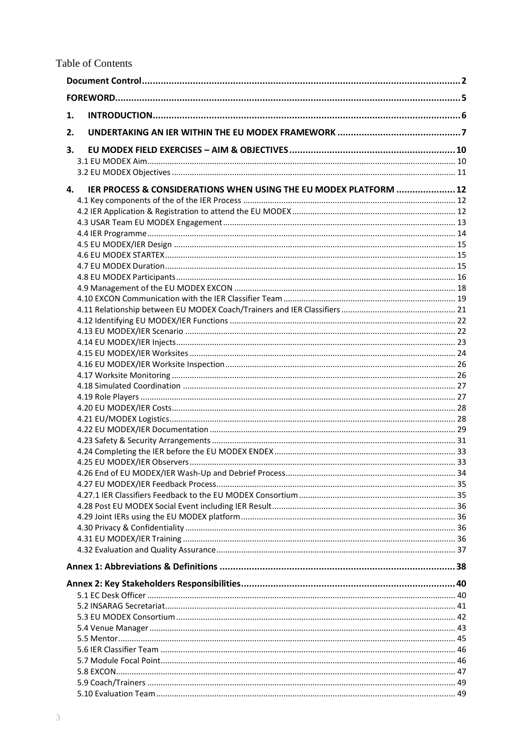| 1. |                                                                   |  |  |  |
|----|-------------------------------------------------------------------|--|--|--|
| 2. |                                                                   |  |  |  |
| 3. |                                                                   |  |  |  |
|    |                                                                   |  |  |  |
|    |                                                                   |  |  |  |
| 4. | IER PROCESS & CONSIDERATIONS WHEN USING THE EU MODEX PLATFORM  12 |  |  |  |
|    |                                                                   |  |  |  |
|    |                                                                   |  |  |  |
|    |                                                                   |  |  |  |
|    |                                                                   |  |  |  |
|    |                                                                   |  |  |  |
|    |                                                                   |  |  |  |
|    |                                                                   |  |  |  |
|    |                                                                   |  |  |  |
|    |                                                                   |  |  |  |
|    |                                                                   |  |  |  |
|    |                                                                   |  |  |  |
|    |                                                                   |  |  |  |
|    |                                                                   |  |  |  |
|    |                                                                   |  |  |  |
|    |                                                                   |  |  |  |
|    |                                                                   |  |  |  |
|    |                                                                   |  |  |  |
|    |                                                                   |  |  |  |
|    |                                                                   |  |  |  |
|    |                                                                   |  |  |  |
|    |                                                                   |  |  |  |
|    |                                                                   |  |  |  |
|    |                                                                   |  |  |  |
|    |                                                                   |  |  |  |
|    |                                                                   |  |  |  |
|    |                                                                   |  |  |  |
|    |                                                                   |  |  |  |
|    |                                                                   |  |  |  |
|    |                                                                   |  |  |  |
|    |                                                                   |  |  |  |
|    |                                                                   |  |  |  |
|    |                                                                   |  |  |  |
|    |                                                                   |  |  |  |
|    |                                                                   |  |  |  |
|    |                                                                   |  |  |  |
|    |                                                                   |  |  |  |
|    |                                                                   |  |  |  |
|    |                                                                   |  |  |  |
|    |                                                                   |  |  |  |
|    |                                                                   |  |  |  |
|    |                                                                   |  |  |  |
|    |                                                                   |  |  |  |
|    |                                                                   |  |  |  |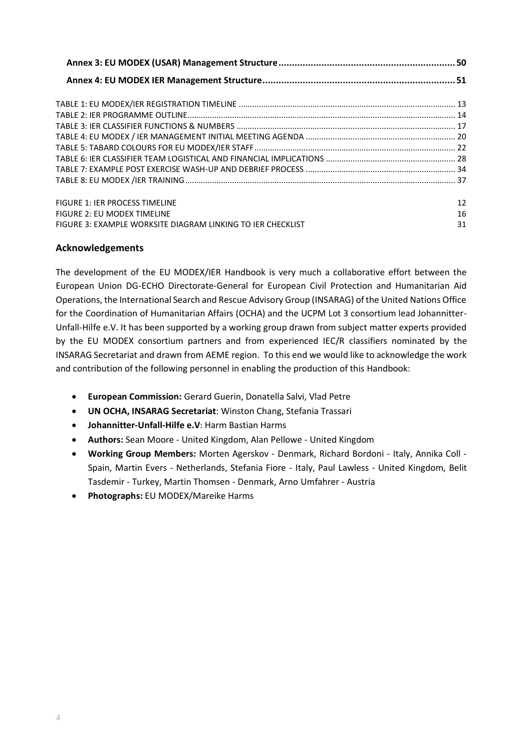| <b>FIGURE 1: IER PROCESS TIMELINE</b>                       | 12 |
|-------------------------------------------------------------|----|
| <b>FIGURE 2: EU MODEX TIMELINE</b>                          | 16 |
| FIGURE 3: EXAMPLE WORKSITE DIAGRAM LINKING TO JER CHECKLIST | 31 |

# **Acknowledgements**

The development of the EU MODEX/IER Handbook is very much a collaborative effort between the European Union DG-ECHO Directorate-General for European Civil Protection and Humanitarian Aid Operations, the International Search and Rescue Advisory Group (INSARAG) of the United Nations Office for the Coordination of Humanitarian Affairs (OCHA) and the UCPM Lot 3 consortium lead Johannitter-Unfall-Hilfe e.V. It has been supported by a working group drawn from subject matter experts provided by the EU MODEX consortium partners and from experienced IEC/R classifiers nominated by the INSARAG Secretariat and drawn from AEME region. To this end we would like to acknowledge the work and contribution of the following personnel in enabling the production of this Handbook:

- **European Commission:** Gerard Guerin, Donatella Salvi, Vlad Petre
- **UN OCHA, INSARAG Secretariat**: Winston Chang, Stefania Trassari
- **Johannitter-Unfall-Hilfe e.V**: Harm Bastian Harms
- **Authors:** Sean Moore United Kingdom, Alan Pellowe United Kingdom
- **Working Group Members:** Morten Agerskov Denmark, Richard Bordoni Italy, Annika Coll Spain, Martin Evers - Netherlands, Stefania Fiore - Italy, Paul Lawless - United Kingdom, Belit Tasdemir - Turkey, Martin Thomsen - Denmark, Arno Umfahrer - Austria
- **Photographs:** EU MODEX/Mareike Harms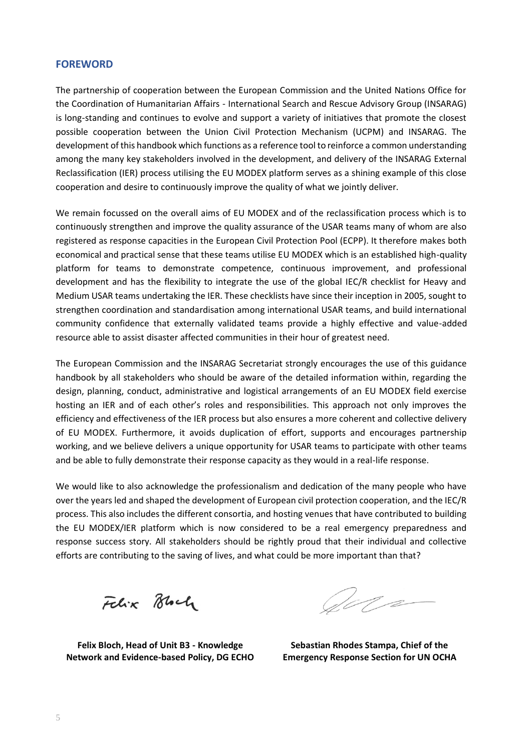# <span id="page-4-0"></span>**FOREWORD**

The partnership of cooperation between the European Commission and the United Nations Office for the Coordination of Humanitarian Affairs - International Search and Rescue Advisory Group (INSARAG) is long-standing and continues to evolve and support a variety of initiatives that promote the closest possible cooperation between the Union Civil Protection Mechanism (UCPM) and INSARAG. The development of this handbook which functions as a reference tool to reinforce a common understanding among the many key stakeholders involved in the development, and delivery of the INSARAG External Reclassification (IER) process utilising the EU MODEX platform serves as a shining example of this close cooperation and desire to continuously improve the quality of what we jointly deliver.

We remain focussed on the overall aims of EU MODEX and of the reclassification process which is to continuously strengthen and improve the quality assurance of the USAR teams many of whom are also registered as response capacities in the European Civil Protection Pool (ECPP). It therefore makes both economical and practical sense that these teams utilise EU MODEX which is an established high-quality platform for teams to demonstrate competence, continuous improvement, and professional development and has the flexibility to integrate the use of the global IEC/R checklist for Heavy and Medium USAR teams undertaking the IER. These checklists have since their inception in 2005, sought to strengthen coordination and standardisation among international USAR teams, and build international community confidence that externally validated teams provide a highly effective and value-added resource able to assist disaster affected communities in their hour of greatest need.

The European Commission and the INSARAG Secretariat strongly encourages the use of this guidance handbook by all stakeholders who should be aware of the detailed information within, regarding the design, planning, conduct, administrative and logistical arrangements of an EU MODEX field exercise hosting an IER and of each other's roles and responsibilities. This approach not only improves the efficiency and effectiveness of the IER process but also ensures a more coherent and collective delivery of EU MODEX. Furthermore, it avoids duplication of effort, supports and encourages partnership working, and we believe delivers a unique opportunity for USAR teams to participate with other teams and be able to fully demonstrate their response capacity as they would in a real-life response.

We would like to also acknowledge the professionalism and dedication of the many people who have over the years led and shaped the development of European civil protection cooperation, and the IEC/R process. This also includes the different consortia, and hosting venues that have contributed to building the EU MODEX/IER platform which is now considered to be a real emergency preparedness and response success story. All stakeholders should be rightly proud that their individual and collective efforts are contributing to the saving of lives, and what could be more important than that?

Felix Block

October

**Felix Bloch, Head of Unit B3 - Knowledge Network and Evidence-based Policy, DG ECHO**

**Sebastian Rhodes Stampa, Chief of the Emergency Response Section for UN OCHA**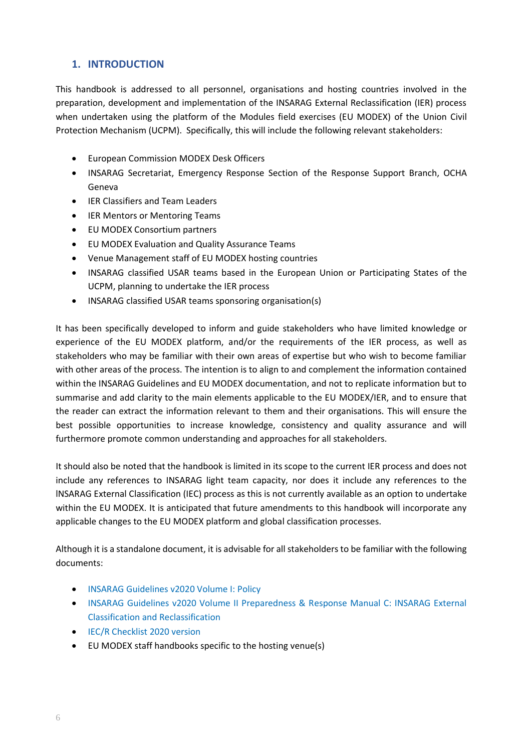# <span id="page-5-0"></span>**1. INTRODUCTION**

This handbook is addressed to all personnel, organisations and hosting countries involved in the preparation, development and implementation of the INSARAG External Reclassification (IER) process when undertaken using the platform of the Modules field exercises (EU MODEX) of the Union Civil Protection Mechanism (UCPM). Specifically, this will include the following relevant stakeholders:

- European Commission MODEX Desk Officers
- INSARAG Secretariat, Emergency Response Section of the Response Support Branch, OCHA Geneva
- IER Classifiers and Team Leaders
- **IER Mentors or Mentoring Teams**
- EU MODEX Consortium partners
- EU MODEX Evaluation and Quality Assurance Teams
- Venue Management staff of EU MODEX hosting countries
- INSARAG classified USAR teams based in the European Union or Participating States of the UCPM, planning to undertake the IER process
- INSARAG classified USAR teams sponsoring organisation(s)

It has been specifically developed to inform and guide stakeholders who have limited knowledge or experience of the EU MODEX platform, and/or the requirements of the IER process, as well as stakeholders who may be familiar with their own areas of expertise but who wish to become familiar with other areas of the process. The intention is to align to and complement the information contained within the INSARAG Guidelines and EU MODEX documentation, and not to replicate information but to summarise and add clarity to the main elements applicable to the EU MODEX/IER, and to ensure that the reader can extract the information relevant to them and their organisations. This will ensure the best possible opportunities to increase knowledge, consistency and quality assurance and will furthermore promote common understanding and approaches for all stakeholders.

It should also be noted that the handbook is limited in its scope to the current IER process and does not include any references to INSARAG light team capacity, nor does it include any references to the lNSARAG External Classification (IEC) process as this is not currently available as an option to undertake within the EU MODEX. It is anticipated that future amendments to this handbook will incorporate any applicable changes to the EU MODEX platform and global classification processes.

Although it is a standalone document, it is advisable for all stakeholders to be familiar with the following documents:

- [INSARAG Guidelines v2020 Volume I: Policy](http://portal.undac.org/pssuportal/portalrest/filesharing/download/public/nTrRg4iizQJJd6p)
- [INSARAG Guidelines v2020 Volume II Preparedness & Response Manual C: INSARAG External](http://portal.undac.org/pssuportal/portalrest/filesharing/download/public/F9b79OV6IC4TwdG)  [Classification and Reclassification](http://portal.undac.org/pssuportal/portalrest/filesharing/download/public/F9b79OV6IC4TwdG)
- [IEC/R Checklist 2020 version](http://portal.undac.org/pssuportal/portalrest/filesharing/download/public/rcDsWbf9n7qWZsv)
- EU MODEX staff handbooks specific to the hosting venue(s)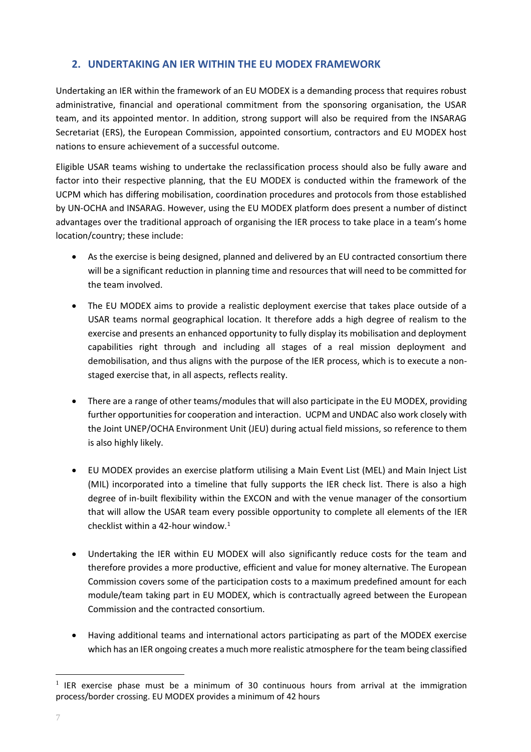# <span id="page-6-0"></span>**2. UNDERTAKING AN IER WITHIN THE EU MODEX FRAMEWORK**

Undertaking an IER within the framework of an EU MODEX is a demanding process that requires robust administrative, financial and operational commitment from the sponsoring organisation, the USAR team, and its appointed mentor. In addition, strong support will also be required from the INSARAG Secretariat (ERS), the European Commission, appointed consortium, contractors and EU MODEX host nations to ensure achievement of a successful outcome.

Eligible USAR teams wishing to undertake the reclassification process should also be fully aware and factor into their respective planning, that the EU MODEX is conducted within the framework of the UCPM which has differing mobilisation, coordination procedures and protocols from those established by UN-OCHA and INSARAG. However, using the EU MODEX platform does present a number of distinct advantages over the traditional approach of organising the IER process to take place in a team's home location/country; these include:

- As the exercise is being designed, planned and delivered by an EU contracted consortium there will be a significant reduction in planning time and resources that will need to be committed for the team involved.
- The EU MODEX aims to provide a realistic deployment exercise that takes place outside of a USAR teams normal geographical location. It therefore adds a high degree of realism to the exercise and presents an enhanced opportunity to fully display its mobilisation and deployment capabilities right through and including all stages of a real mission deployment and demobilisation, and thus aligns with the purpose of the IER process, which is to execute a nonstaged exercise that, in all aspects, reflects reality.
- There are a range of other teams/modules that will also participate in the EU MODEX, providing further opportunities for cooperation and interaction. UCPM and UNDAC also work closely with the Joint UNEP/OCHA Environment Unit (JEU) during actual field missions, so reference to them is also highly likely.
- EU MODEX provides an exercise platform utilising a Main Event List (MEL) and Main Inject List (MIL) incorporated into a timeline that fully supports the IER check list. There is also a high degree of in-built flexibility within the EXCON and with the venue manager of the consortium that will allow the USAR team every possible opportunity to complete all elements of the IER checklist within a 42-hour window. 1
- Undertaking the IER within EU MODEX will also significantly reduce costs for the team and therefore provides a more productive, efficient and value for money alternative. The European Commission covers some of the participation costs to a maximum predefined amount for each module/team taking part in EU MODEX, which is contractually agreed between the European Commission and the contracted consortium.
- Having additional teams and international actors participating as part of the MODEX exercise which has an IER ongoing creates a much more realistic atmosphere for the team being classified

<sup>&</sup>lt;sup>1</sup> IER exercise phase must be a minimum of 30 continuous hours from arrival at the immigration process/border crossing. EU MODEX provides a minimum of 42 hours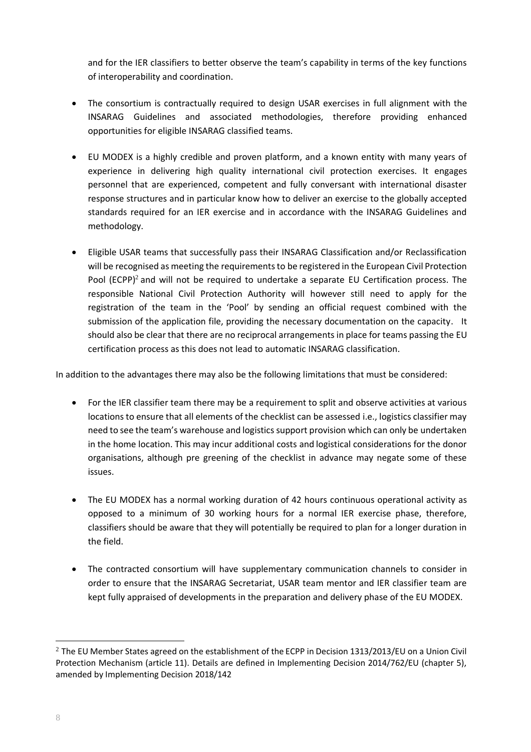and for the IER classifiers to better observe the team's capability in terms of the key functions of interoperability and coordination.

- The consortium is contractually required to design USAR exercises in full alignment with the INSARAG Guidelines and associated methodologies, therefore providing enhanced opportunities for eligible INSARAG classified teams.
- EU MODEX is a highly credible and proven platform, and a known entity with many years of experience in delivering high quality international civil protection exercises. It engages personnel that are experienced, competent and fully conversant with international disaster response structures and in particular know how to deliver an exercise to the globally accepted standards required for an IER exercise and in accordance with the INSARAG Guidelines and methodology.
- Eligible USAR teams that successfully pass their INSARAG Classification and/or Reclassification will be recognised as meeting the requirements to be registered in the European Civil Protection Pool (ECPP)<sup>2</sup> and will not be required to undertake a separate EU Certification process. The responsible National Civil Protection Authority will however still need to apply for the registration of the team in the 'Pool' by sending an official request combined with the submission of the application file, providing the necessary documentation on the capacity. It should also be clear that there are no reciprocal arrangements in place for teams passing the EU certification process as this does not lead to automatic INSARAG classification.

In addition to the advantages there may also be the following limitations that must be considered:

- For the IER classifier team there may be a requirement to split and observe activities at various locations to ensure that all elements of the checklist can be assessed i.e., logistics classifier may need to see the team's warehouse and logistics support provision which can only be undertaken in the home location. This may incur additional costs and logistical considerations for the donor organisations, although pre greening of the checklist in advance may negate some of these issues.
- The EU MODEX has a normal working duration of 42 hours continuous operational activity as opposed to a minimum of 30 working hours for a normal IER exercise phase, therefore, classifiers should be aware that they will potentially be required to plan for a longer duration in the field.
- The contracted consortium will have supplementary communication channels to consider in order to ensure that the INSARAG Secretariat, USAR team mentor and IER classifier team are kept fully appraised of developments in the preparation and delivery phase of the EU MODEX.

<sup>&</sup>lt;sup>2</sup> The EU Member States agreed on the establishment of the ECPP in Decision 1313/2013/EU on a Union Civil Protection Mechanism (article 11). Details are defined in Implementing Decision 2014/762/EU (chapter 5), amended by Implementing Decision 2018/142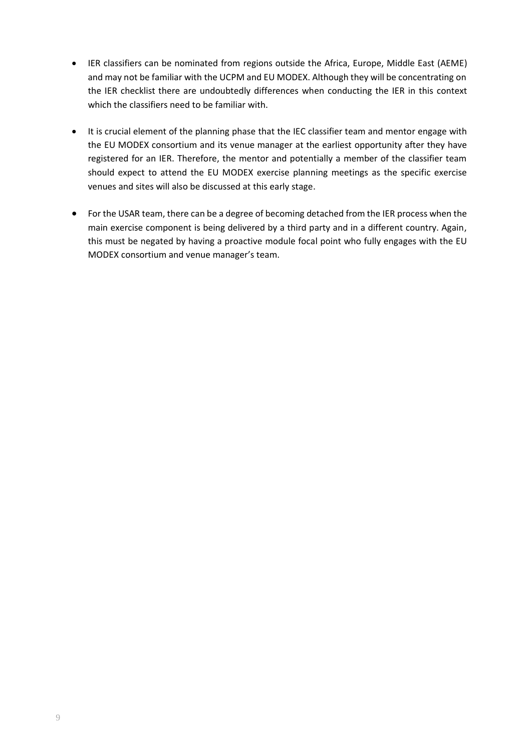- IER classifiers can be nominated from regions outside the Africa, Europe, Middle East (AEME) and may not be familiar with the UCPM and EU MODEX. Although they will be concentrating on the IER checklist there are undoubtedly differences when conducting the IER in this context which the classifiers need to be familiar with.
- It is crucial element of the planning phase that the IEC classifier team and mentor engage with the EU MODEX consortium and its venue manager at the earliest opportunity after they have registered for an IER. Therefore, the mentor and potentially a member of the classifier team should expect to attend the EU MODEX exercise planning meetings as the specific exercise venues and sites will also be discussed at this early stage.
- For the USAR team, there can be a degree of becoming detached from the IER process when the main exercise component is being delivered by a third party and in a different country. Again, this must be negated by having a proactive module focal point who fully engages with the EU MODEX consortium and venue manager's team.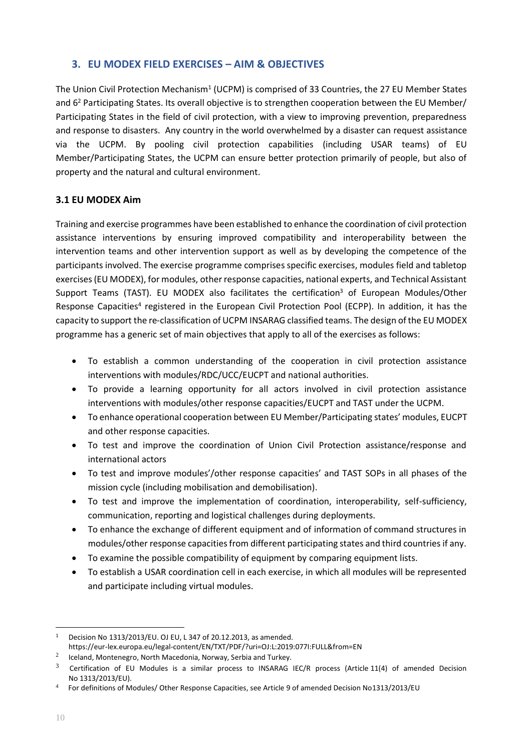# <span id="page-9-0"></span>**3. EU MODEX FIELD EXERCISES – AIM & OBJECTIVES**

The Union Civil Protection Mechanism<sup>1</sup> (UCPM) is comprised of 33 Countries, the 27 EU Member States and 6<sup>2</sup> Participating States. Its overall objective is to strengthen cooperation between the EU Member/ Participating States in the field of civil protection, with a view to improving prevention, preparedness and response to disasters. Any country in the world overwhelmed by a disaster can request assistance via the UCPM. By pooling civil protection capabilities (including USAR teams) of EU Member/Participating States, the UCPM can ensure better protection primarily of people, but also of property and the natural and cultural environment.

# <span id="page-9-1"></span>**3.1 EU MODEX Aim**

Training and exercise programmes have been established to enhance the coordination of civil protection assistance interventions by ensuring improved compatibility and interoperability between the intervention teams and other intervention support as well as by developing the competence of the participants involved. The exercise programme comprises specific exercises, modules field and tabletop exercises (EU MODEX), for modules, other response capacities, national experts, and Technical Assistant Support Teams (TAST). EU MODEX also facilitates the certification<sup>3</sup> of European Modules/Other Response Capacities<sup>4</sup> registered in the European Civil Protection Pool (ECPP). In addition, it has the capacity to support the re-classification of UCPM INSARAG classified teams. The design of the EU MODEX programme has a generic set of main objectives that apply to all of the exercises as follows:

- To establish a common understanding of the cooperation in civil protection assistance interventions with modules/RDC/UCC/EUCPT and national authorities.
- To provide a learning opportunity for all actors involved in civil protection assistance interventions with modules/other response capacities/EUCPT and TAST under the UCPM.
- To enhance operational cooperation between EU Member/Participating states' modules, EUCPT and other response capacities.
- To test and improve the coordination of Union Civil Protection assistance/response and international actors
- To test and improve modules'/other response capacities' and TAST SOPs in all phases of the mission cycle (including mobilisation and demobilisation).
- To test and improve the implementation of coordination, interoperability, self-sufficiency, communication, reporting and logistical challenges during deployments.
- To enhance the exchange of different equipment and of information of command structures in modules/other response capacities from different participating states and third countries if any.
- To examine the possible compatibility of equipment by comparing equipment lists.
- To establish a USAR coordination cell in each exercise, in which all modules will be represented and participate including virtual modules.

<sup>1</sup> Decision No 1313/2013/EU. OJ EU, L 347 of 20.12.2013, as amended.

https://eur-lex.europa.eu/legal-content/EN/TXT/PDF/?uri=OJ:L:2019:077I:FULL&from=EN

<sup>2</sup> Iceland, Montenegro, North Macedonia, Norway, Serbia and Turkey.

 $3$  Certification of EU Modules is a similar process to INSARAG IEC/R process (Article 11(4) of amended Decision No 1313/2013/EU).

<sup>4</sup> For definitions of Modules/ Other Response Capacities, see Article 9 of amended Decision No1313/2013/EU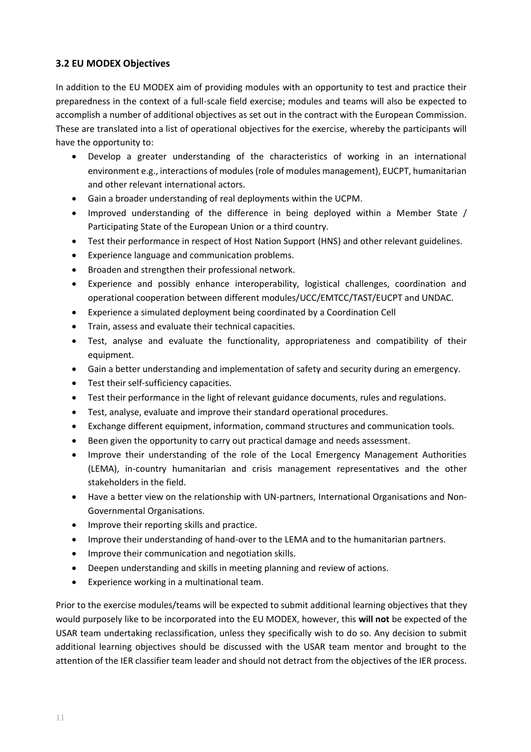# <span id="page-10-0"></span>**3.2 EU MODEX Objectives**

In addition to the EU MODEX aim of providing modules with an opportunity to test and practice their preparedness in the context of a full-scale field exercise; modules and teams will also be expected to accomplish a number of additional objectives as set out in the contract with the European Commission. These are translated into a list of operational objectives for the exercise, whereby the participants will have the opportunity to:

- Develop a greater understanding of the characteristics of working in an international environment e.g., interactions of modules (role of modules management), EUCPT, humanitarian and other relevant international actors.
- Gain a broader understanding of real deployments within the UCPM.
- Improved understanding of the difference in being deployed within a Member State / Participating State of the European Union or a third country.
- Test their performance in respect of Host Nation Support (HNS) and other relevant guidelines.
- Experience language and communication problems.
- Broaden and strengthen their professional network.
- Experience and possibly enhance interoperability, logistical challenges, coordination and operational cooperation between different modules/UCC/EMTCC/TAST/EUCPT and UNDAC.
- Experience a simulated deployment being coordinated by a Coordination Cell
- Train, assess and evaluate their technical capacities.
- Test, analyse and evaluate the functionality, appropriateness and compatibility of their equipment.
- Gain a better understanding and implementation of safety and security during an emergency.
- Test their self-sufficiency capacities.
- Test their performance in the light of relevant guidance documents, rules and regulations.
- Test, analyse, evaluate and improve their standard operational procedures.
- Exchange different equipment, information, command structures and communication tools.
- Been given the opportunity to carry out practical damage and needs assessment.
- Improve their understanding of the role of the Local Emergency Management Authorities (LEMA), in-country humanitarian and crisis management representatives and the other stakeholders in the field.
- Have a better view on the relationship with UN-partners, International Organisations and Non-Governmental Organisations.
- Improve their reporting skills and practice.
- Improve their understanding of hand-over to the LEMA and to the humanitarian partners.
- Improve their communication and negotiation skills.
- Deepen understanding and skills in meeting planning and review of actions.
- Experience working in a multinational team.

Prior to the exercise modules/teams will be expected to submit additional learning objectives that they would purposely like to be incorporated into the EU MODEX, however, this **will not** be expected of the USAR team undertaking reclassification, unless they specifically wish to do so. Any decision to submit additional learning objectives should be discussed with the USAR team mentor and brought to the attention of the IER classifier team leader and should not detract from the objectives of the IER process.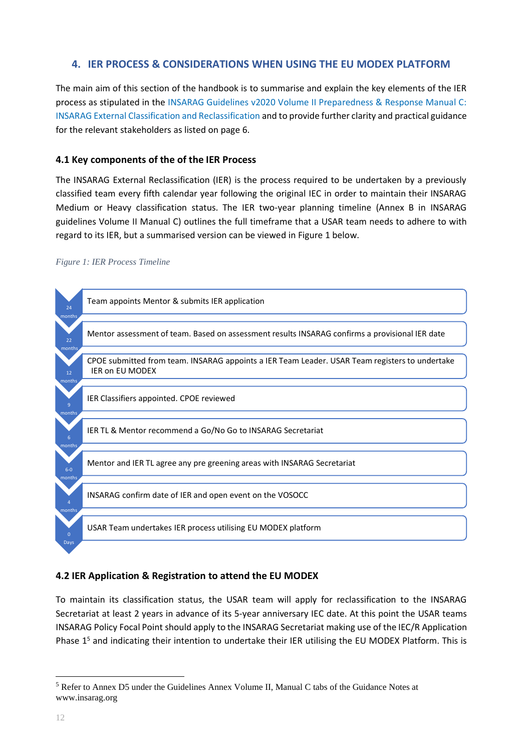# <span id="page-11-0"></span>**4. IER PROCESS & CONSIDERATIONS WHEN USING THE EU MODEX PLATFORM**

The main aim of this section of the handbook is to summarise and explain the key elements of the IER process as stipulated in the [INSARAG Guidelines v2020 Volume II Preparedness & Response Manual C:](http://portal.undac.org/pssuportal/portalrest/filesharing/download/public/F9b79OV6IC4TwdG)  [INSARAG External Classification and Reclassification](http://portal.undac.org/pssuportal/portalrest/filesharing/download/public/F9b79OV6IC4TwdG) and to provide further clarity and practical guidance for the relevant stakeholders as listed on page 6.

# <span id="page-11-1"></span>**4.1 Key components of the of the IER Process**

The INSARAG External Reclassification (IER) is the process required to be undertaken by a previously classified team every fifth calendar year following the original IEC in order to maintain their INSARAG Medium or Heavy classification status. The IER two-year planning timeline (Annex B in INSARAG guidelines Volume II Manual C) outlines the full timeframe that a USAR team needs to adhere to with regard to its IER, but a summarised version can be viewed in Figure 1 below.

## <span id="page-11-3"></span>*Figure 1: IER Process Timeline*



# <span id="page-11-2"></span>**4.2 IER Application & Registration to attend the EU MODEX**

To maintain its classification status, the USAR team will apply for reclassification to the INSARAG Secretariat at least 2 years in advance of its 5-year anniversary IEC date. At this point the USAR teams INSARAG Policy Focal Point should apply to the INSARAG Secretariat making use of the IEC/R Application Phase  $1<sup>5</sup>$  and indicating their intention to undertake their IER utilising the EU MODEX Platform. This is

<sup>5</sup> Refer to Annex D5 under the Guidelines Annex Volume II, Manual C tabs of the Guidance Notes at www.insarag.org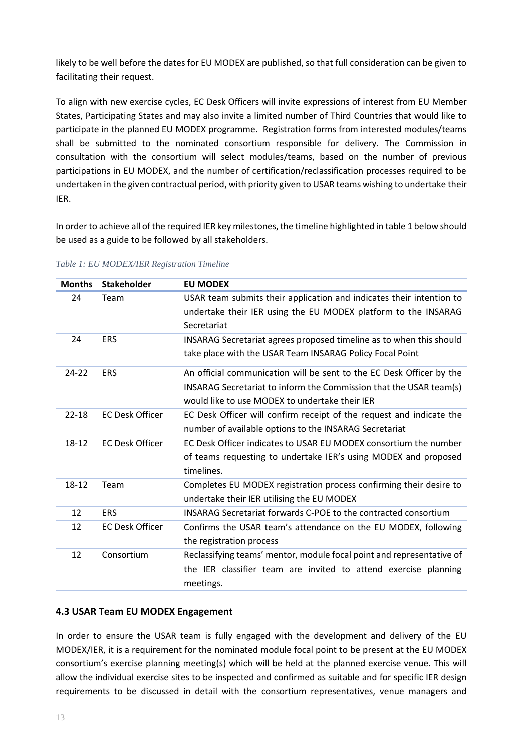likely to be well before the dates for EU MODEX are published, so that full consideration can be given to facilitating their request.

To align with new exercise cycles, EC Desk Officers will invite expressions of interest from EU Member States, Participating States and may also invite a limited number of Third Countries that would like to participate in the planned EU MODEX programme. Registration forms from interested modules/teams shall be submitted to the nominated consortium responsible for delivery. The Commission in consultation with the consortium will select modules/teams, based on the number of previous participations in EU MODEX, and the number of certification/reclassification processes required to be undertaken in the given contractual period, with priority given to USAR teams wishing to undertake their IER.

In order to achieve all of the required IER key milestones, the timeline highlighted in table 1 below should be used as a guide to be followed by all stakeholders.

| <b>Months</b> | <b>Stakeholder</b>     | <b>EU MODEX</b>                                                                                                                                                                              |
|---------------|------------------------|----------------------------------------------------------------------------------------------------------------------------------------------------------------------------------------------|
| 24            | Team                   | USAR team submits their application and indicates their intention to<br>undertake their IER using the EU MODEX platform to the INSARAG                                                       |
|               |                        | Secretariat                                                                                                                                                                                  |
| 24            | <b>ERS</b>             | INSARAG Secretariat agrees proposed timeline as to when this should<br>take place with the USAR Team INSARAG Policy Focal Point                                                              |
| $24 - 22$     | <b>ERS</b>             | An official communication will be sent to the EC Desk Officer by the<br>INSARAG Secretariat to inform the Commission that the USAR team(s)<br>would like to use MODEX to undertake their IER |
| $22 - 18$     | <b>EC Desk Officer</b> | EC Desk Officer will confirm receipt of the request and indicate the<br>number of available options to the INSARAG Secretariat                                                               |
| $18 - 12$     | <b>EC Desk Officer</b> | EC Desk Officer indicates to USAR EU MODEX consortium the number<br>of teams requesting to undertake IER's using MODEX and proposed<br>timelines.                                            |
| 18-12         | Team                   | Completes EU MODEX registration process confirming their desire to<br>undertake their IER utilising the EU MODEX                                                                             |
| 12            | <b>ERS</b>             | <b>INSARAG Secretariat forwards C-POE to the contracted consortium</b>                                                                                                                       |
| 12            | <b>EC Desk Officer</b> | Confirms the USAR team's attendance on the EU MODEX, following<br>the registration process                                                                                                   |
| 12            | Consortium             | Reclassifying teams' mentor, module focal point and representative of<br>the IER classifier team are invited to attend exercise planning<br>meetings.                                        |

<span id="page-12-1"></span>*Table 1: EU MODEX/IER Registration Timeline*

# <span id="page-12-0"></span>**4.3 USAR Team EU MODEX Engagement**

In order to ensure the USAR team is fully engaged with the development and delivery of the EU MODEX/IER, it is a requirement for the nominated module focal point to be present at the EU MODEX consortium's exercise planning meeting(s) which will be held at the planned exercise venue. This will allow the individual exercise sites to be inspected and confirmed as suitable and for specific IER design requirements to be discussed in detail with the consortium representatives, venue managers and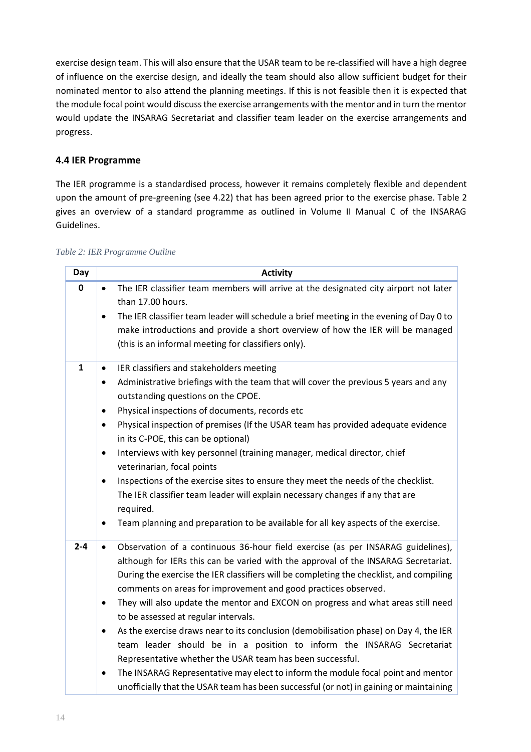exercise design team. This will also ensure that the USAR team to be re-classified will have a high degree of influence on the exercise design, and ideally the team should also allow sufficient budget for their nominated mentor to also attend the planning meetings. If this is not feasible then it is expected that the module focal point would discuss the exercise arrangements with the mentor and in turn the mentor would update the INSARAG Secretariat and classifier team leader on the exercise arrangements and progress.

# <span id="page-13-0"></span>**4.4 IER Programme**

The IER programme is a standardised process, however it remains completely flexible and dependent upon the amount of pre-greening (see 4.22) that has been agreed prior to the exercise phase. Table 2 gives an overview of a standard programme as outlined in Volume II Manual C of the INSARAG Guidelines.

<span id="page-13-1"></span>

| Day     | <b>Activity</b>                                                                                                                                                                                                                               |
|---------|-----------------------------------------------------------------------------------------------------------------------------------------------------------------------------------------------------------------------------------------------|
| 0       | The IER classifier team members will arrive at the designated city airport not later<br>$\bullet$<br>than 17.00 hours.                                                                                                                        |
|         | The IER classifier team leader will schedule a brief meeting in the evening of Day 0 to<br>$\bullet$<br>make introductions and provide a short overview of how the IER will be managed<br>(this is an informal meeting for classifiers only). |
| 1       | IER classifiers and stakeholders meeting<br>$\bullet$                                                                                                                                                                                         |
|         | Administrative briefings with the team that will cover the previous 5 years and any<br>٠<br>outstanding questions on the CPOE.                                                                                                                |
|         | Physical inspections of documents, records etc<br>$\bullet$                                                                                                                                                                                   |
|         | Physical inspection of premises (If the USAR team has provided adequate evidence<br>$\bullet$<br>in its C-POE, this can be optional)                                                                                                          |
|         | Interviews with key personnel (training manager, medical director, chief<br>$\bullet$<br>veterinarian, focal points                                                                                                                           |
|         | Inspections of the exercise sites to ensure they meet the needs of the checklist.<br>$\bullet$                                                                                                                                                |
|         | The IER classifier team leader will explain necessary changes if any that are<br>required.                                                                                                                                                    |
|         | Team planning and preparation to be available for all key aspects of the exercise.<br>$\bullet$                                                                                                                                               |
| $2 - 4$ | Observation of a continuous 36-hour field exercise (as per INSARAG guidelines),<br>$\bullet$                                                                                                                                                  |
|         | although for IERs this can be varied with the approval of the INSARAG Secretariat.                                                                                                                                                            |
|         | During the exercise the IER classifiers will be completing the checklist, and compiling<br>comments on areas for improvement and good practices observed.                                                                                     |
|         | They will also update the mentor and EXCON on progress and what areas still need<br>$\bullet$                                                                                                                                                 |
|         | to be assessed at regular intervals.                                                                                                                                                                                                          |
|         | As the exercise draws near to its conclusion (demobilisation phase) on Day 4, the IER<br>$\bullet$                                                                                                                                            |
|         | team leader should be in a position to inform the INSARAG Secretariat                                                                                                                                                                         |
|         | Representative whether the USAR team has been successful.                                                                                                                                                                                     |
|         | The INSARAG Representative may elect to inform the module focal point and mentor<br>$\bullet$                                                                                                                                                 |
|         | unofficially that the USAR team has been successful (or not) in gaining or maintaining                                                                                                                                                        |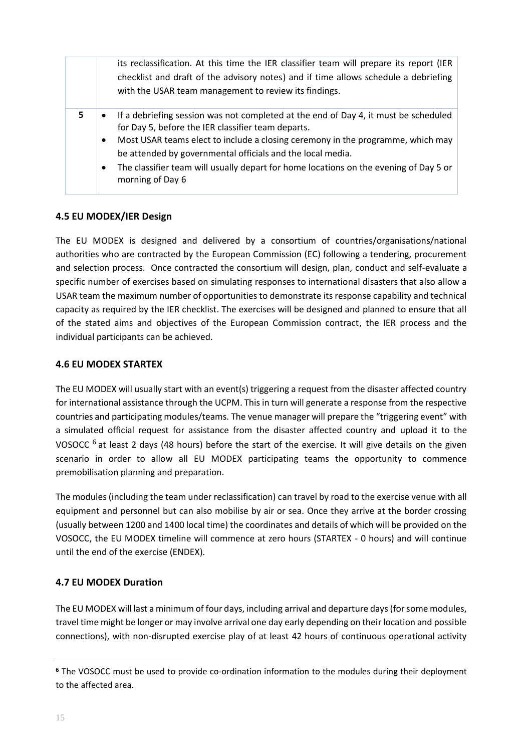|    | its reclassification. At this time the IER classifier team will prepare its report (IER<br>checklist and draft of the advisory notes) and if time allows schedule a debriefing<br>with the USAR team management to review its findings.                                                                                                                                                                                                        |
|----|------------------------------------------------------------------------------------------------------------------------------------------------------------------------------------------------------------------------------------------------------------------------------------------------------------------------------------------------------------------------------------------------------------------------------------------------|
| 5. | If a debriefing session was not completed at the end of Day 4, it must be scheduled<br>$\bullet$<br>for Day 5, before the IER classifier team departs.<br>Most USAR teams elect to include a closing ceremony in the programme, which may<br>$\bullet$<br>be attended by governmental officials and the local media.<br>The classifier team will usually depart for home locations on the evening of Day 5 or<br>$\bullet$<br>morning of Day 6 |

# <span id="page-14-0"></span>**4.5 EU MODEX/IER Design**

The EU MODEX is designed and delivered by a consortium of countries/organisations/national authorities who are contracted by the European Commission (EC) following a tendering, procurement and selection process. Once contracted the consortium will design, plan, conduct and self-evaluate a specific number of exercises based on simulating responses to international disasters that also allow a USAR team the maximum number of opportunities to demonstrate its response capability and technical capacity as required by the IER checklist. The exercises will be designed and planned to ensure that all of the stated aims and objectives of the European Commission contract, the IER process and the individual participants can be achieved.

# <span id="page-14-1"></span>**4.6 EU MODEX STARTEX**

The EU MODEX will usually start with an event(s) triggering a request from the disaster affected country for international assistance through the UCPM. This in turn will generate a response from the respective countries and participating modules/teams. The venue manager will prepare the "triggering event" with a simulated official request for assistance from the disaster affected country and upload it to the VOSOCC  $^6$  at least 2 days (48 hours) before the start of the exercise. It will give details on the given scenario in order to allow all EU MODEX participating teams the opportunity to commence premobilisation planning and preparation.

The modules (including the team under reclassification) can travel by road to the exercise venue with all equipment and personnel but can also mobilise by air or sea. Once they arrive at the border crossing (usually between 1200 and 1400 local time) the coordinates and details of which will be provided on the VOSOCC, the EU MODEX timeline will commence at zero hours (STARTEX - 0 hours) and will continue until the end of the exercise (ENDEX).

# <span id="page-14-2"></span>**4.7 EU MODEX Duration**

The EU MODEX will last a minimum of four days, including arrival and departure days (for some modules, travel time might be longer or may involve arrival one day early depending on their location and possible connections), with non-disrupted exercise play of at least 42 hours of continuous operational activity

**<sup>6</sup>** The VOSOCC must be used to provide co-ordination information to the modules during their deployment to the affected area.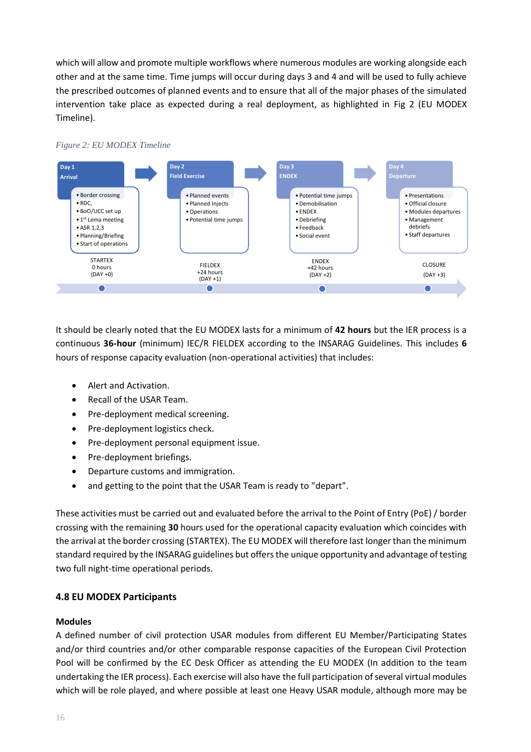which will allow and promote multiple workflows where numerous modules are working alongside each other and at the same time. Time jumps will occur during days 3 and 4 and will be used to fully achieve the prescribed outcomes of planned events and to ensure that all of the major phases of the simulated intervention take place as expected during a real deployment, as highlighted in Fig 2 (EU MODEX Timeline).



<span id="page-15-1"></span>

It should be clearly noted that the EU MODEX lasts for a minimum of **42 hours** but the IER process is a continuous **36-hour** (minimum) IEC/R FIELDEX according to the INSARAG Guidelines. This includes **6**  hours of response capacity evaluation (non-operational activities) that includes:

- Alert and Activation.
- Recall of the USAR Team.
- Pre-deployment medical screening.
- Pre-deployment logistics check.
- Pre-deployment personal equipment issue.
- Pre-deployment briefings.
- Departure customs and immigration.
- and getting to the point that the USAR Team is ready to "depart".

These activities must be carried out and evaluated before the arrival to the Point of Entry (PoE) / border crossing with the remaining **30** hours used for the operational capacity evaluation which coincides with the arrival at the border crossing (STARTEX). The EU MODEX will therefore last longer than the minimum standard required by the INSARAG guidelines but offers the unique opportunity and advantage of testing two full night-time operational periods.

# <span id="page-15-0"></span>**4.8 EU MODEX Participants**

# **Modules**

A defined number of civil protection USAR modules from different EU Member/Participating States and/or third countries and/or other comparable response capacities of the European Civil Protection Pool will be confirmed by the EC Desk Officer as attending the EU MODEX (In addition to the team undertaking the IER process). Each exercise will also have the full participation of several virtual modules which will be role played, and where possible at least one Heavy USAR module, although more may be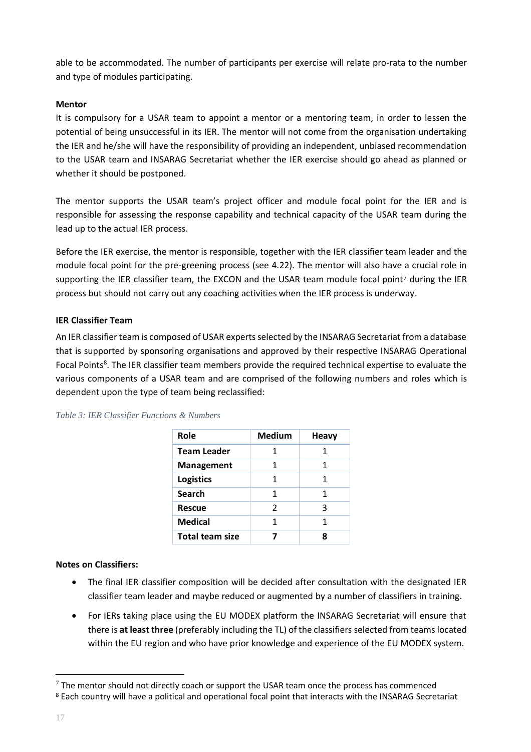able to be accommodated. The number of participants per exercise will relate pro-rata to the number and type of modules participating.

## **Mentor**

It is compulsory for a USAR team to appoint a mentor or a mentoring team, in order to lessen the potential of being unsuccessful in its IER. The mentor will not come from the organisation undertaking the IER and he/she will have the responsibility of providing an independent, unbiased recommendation to the USAR team and INSARAG Secretariat whether the IER exercise should go ahead as planned or whether it should be postponed.

The mentor supports the USAR team's project officer and module focal point for the IER and is responsible for assessing the response capability and technical capacity of the USAR team during the lead up to the actual IER process.

Before the IER exercise, the mentor is responsible, together with the IER classifier team leader and the module focal point for the pre-greening process (see 4.22). The mentor will also have a crucial role in supporting the IER classifier team, the EXCON and the USAR team module focal point<sup>7</sup> during the IER process but should not carry out any coaching activities when the IER process is underway.

## **IER Classifier Team**

An IER classifier team is composed of USAR experts selected by the INSARAG Secretariat from a database that is supported by sponsoring organisations and approved by their respective INSARAG Operational Focal Points<sup>8</sup>. The IER classifier team members provide the required technical expertise to evaluate the various components of a USAR team and are comprised of the following numbers and roles which is dependent upon the type of team being reclassified:

| Role                   | <b>Medium</b>  | <b>Heavy</b> |
|------------------------|----------------|--------------|
| <b>Team Leader</b>     | 1              | 1            |
| Management             | 1              | 1            |
| <b>Logistics</b>       | 1              | 1            |
| <b>Search</b>          | 1              | 1            |
| <b>Rescue</b>          | $\mathfrak{p}$ | 3            |
| Medical                | 1              | 1            |
| <b>Total team size</b> |                | ጸ            |

#### <span id="page-16-0"></span>*Table 3: IER Classifier Functions & Numbers*

#### **Notes on Classifiers:**

- The final IER classifier composition will be decided after consultation with the designated IER classifier team leader and maybe reduced or augmented by a number of classifiers in training.
- For IERs taking place using the EU MODEX platform the INSARAG Secretariat will ensure that there is **at least three** (preferably including the TL) of the classifiers selected from teams located within the EU region and who have prior knowledge and experience of the EU MODEX system.

 $7$  The mentor should not directly coach or support the USAR team once the process has commenced <sup>8</sup> Each country will have a political and operational focal point that interacts with the INSARAG Secretariat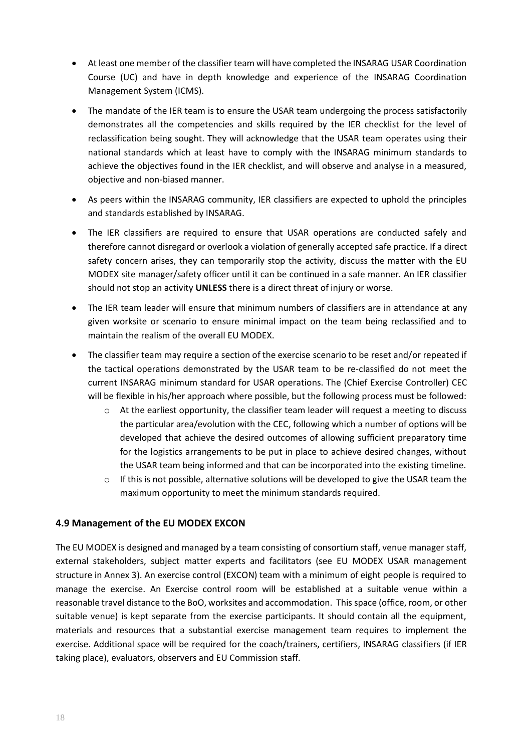- At least one member of the classifier team will have completed the INSARAG USAR Coordination Course (UC) and have in depth knowledge and experience of the INSARAG Coordination Management System (ICMS).
- The mandate of the IER team is to ensure the USAR team undergoing the process satisfactorily demonstrates all the competencies and skills required by the IER checklist for the level of reclassification being sought. They will acknowledge that the USAR team operates using their national standards which at least have to comply with the INSARAG minimum standards to achieve the objectives found in the IER checklist, and will observe and analyse in a measured, objective and non-biased manner.
- As peers within the INSARAG community, IER classifiers are expected to uphold the principles and standards established by INSARAG.
- The IER classifiers are required to ensure that USAR operations are conducted safely and therefore cannot disregard or overlook a violation of generally accepted safe practice. If a direct safety concern arises, they can temporarily stop the activity, discuss the matter with the EU MODEX site manager/safety officer until it can be continued in a safe manner. An IER classifier should not stop an activity **UNLESS** there is a direct threat of injury or worse.
- The IER team leader will ensure that minimum numbers of classifiers are in attendance at any given worksite or scenario to ensure minimal impact on the team being reclassified and to maintain the realism of the overall EU MODEX.
- The classifier team may require a section of the exercise scenario to be reset and/or repeated if the tactical operations demonstrated by the USAR team to be re-classified do not meet the current INSARAG minimum standard for USAR operations. The (Chief Exercise Controller) CEC will be flexible in his/her approach where possible, but the following process must be followed:
	- At the earliest opportunity, the classifier team leader will request a meeting to discuss the particular area/evolution with the CEC, following which a number of options will be developed that achieve the desired outcomes of allowing sufficient preparatory time for the logistics arrangements to be put in place to achieve desired changes, without the USAR team being informed and that can be incorporated into the existing timeline.
	- $\circ$  If this is not possible, alternative solutions will be developed to give the USAR team the maximum opportunity to meet the minimum standards required.

# <span id="page-17-0"></span>**4.9 Management of the EU MODEX EXCON**

The EU MODEX is designed and managed by a team consisting of consortium staff, venue manager staff, external stakeholders, subject matter experts and facilitators (see EU MODEX USAR management structure in Annex 3). An exercise control (EXCON) team with a minimum of eight people is required to manage the exercise. An Exercise control room will be established at a suitable venue within a reasonable travel distance to the BoO, worksites and accommodation. This space (office, room, or other suitable venue) is kept separate from the exercise participants. It should contain all the equipment, materials and resources that a substantial exercise management team requires to implement the exercise. Additional space will be required for the coach/trainers, certifiers, INSARAG classifiers (if IER taking place), evaluators, observers and EU Commission staff.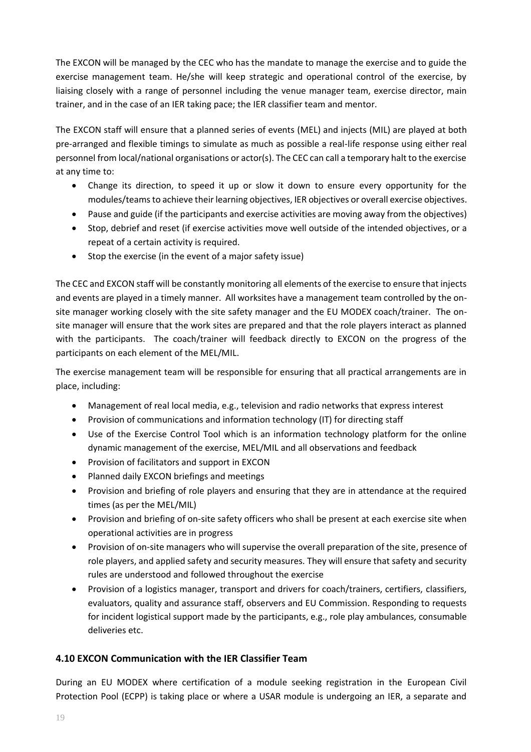The EXCON will be managed by the CEC who has the mandate to manage the exercise and to guide the exercise management team. He/she will keep strategic and operational control of the exercise, by liaising closely with a range of personnel including the venue manager team, exercise director, main trainer, and in the case of an IER taking pace; the IER classifier team and mentor.

The EXCON staff will ensure that a planned series of events (MEL) and injects (MIL) are played at both pre-arranged and flexible timings to simulate as much as possible a real-life response using either real personnel from local/national organisations or actor(s). The CEC can call a temporary halt to the exercise at any time to:

- Change its direction, to speed it up or slow it down to ensure every opportunity for the modules/teamsto achieve their learning objectives, IER objectives or overall exercise objectives.
- Pause and guide (if the participants and exercise activities are moving away from the objectives)
- Stop, debrief and reset (if exercise activities move well outside of the intended objectives, or a repeat of a certain activity is required.
- Stop the exercise (in the event of a major safety issue)

The CEC and EXCON staff will be constantly monitoring all elements of the exercise to ensure that injects and events are played in a timely manner. All worksites have a management team controlled by the onsite manager working closely with the site safety manager and the EU MODEX coach/trainer. The onsite manager will ensure that the work sites are prepared and that the role players interact as planned with the participants. The coach/trainer will feedback directly to EXCON on the progress of the participants on each element of the MEL/MIL.

The exercise management team will be responsible for ensuring that all practical arrangements are in place, including:

- Management of real local media, e.g., television and radio networks that express interest
- Provision of communications and information technology (IT) for directing staff
- Use of the Exercise Control Tool which is an information technology platform for the online dynamic management of the exercise, MEL/MIL and all observations and feedback
- Provision of facilitators and support in EXCON
- Planned daily EXCON briefings and meetings
- Provision and briefing of role players and ensuring that they are in attendance at the required times (as per the MEL/MIL)
- Provision and briefing of on-site safety officers who shall be present at each exercise site when operational activities are in progress
- Provision of on-site managers who will supervise the overall preparation of the site, presence of role players, and applied safety and security measures. They will ensure that safety and security rules are understood and followed throughout the exercise
- Provision of a logistics manager, transport and drivers for coach/trainers, certifiers, classifiers, evaluators, quality and assurance staff, observers and EU Commission. Responding to requests for incident logistical support made by the participants, e.g., role play ambulances, consumable deliveries etc.

# <span id="page-18-0"></span>**4.10 EXCON Communication with the IER Classifier Team**

During an EU MODEX where certification of a module seeking registration in the European Civil Protection Pool (ECPP) is taking place or where a USAR module is undergoing an IER, a separate and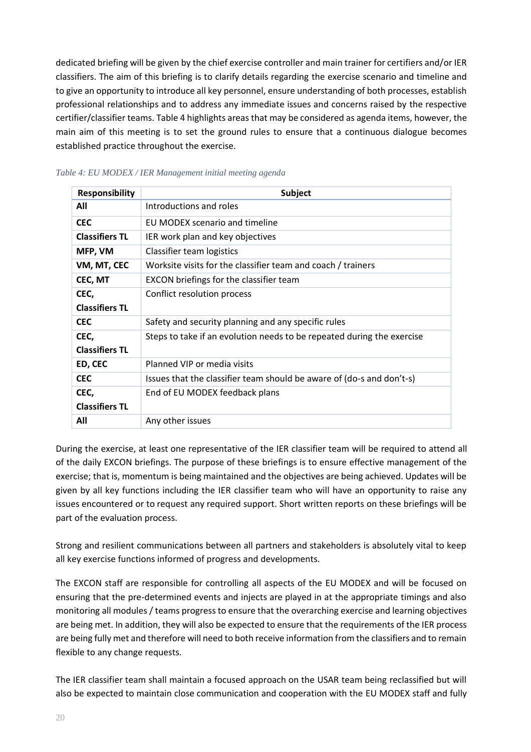dedicated briefing will be given by the chief exercise controller and main trainer for certifiers and/or IER classifiers. The aim of this briefing is to clarify details regarding the exercise scenario and timeline and to give an opportunity to introduce all key personnel, ensure understanding of both processes, establish professional relationships and to address any immediate issues and concerns raised by the respective certifier/classifier teams. Table 4 highlights areas that may be considered as agenda items, however, the main aim of this meeting is to set the ground rules to ensure that a continuous dialogue becomes established practice throughout the exercise.

| <b>Responsibility</b> | <b>Subject</b>                                                         |
|-----------------------|------------------------------------------------------------------------|
| All                   | Introductions and roles                                                |
| <b>CEC</b>            | EU MODEX scenario and timeline                                         |
| <b>Classifiers TL</b> | IER work plan and key objectives                                       |
| MFP, VM               | Classifier team logistics                                              |
| VM, MT, CEC           | Worksite visits for the classifier team and coach / trainers           |
| CEC, MT               | <b>EXCON</b> briefings for the classifier team                         |
| CEC,                  | Conflict resolution process                                            |
| <b>Classifiers TL</b> |                                                                        |
| <b>CEC</b>            | Safety and security planning and any specific rules                    |
| CEC,                  | Steps to take if an evolution needs to be repeated during the exercise |
| <b>Classifiers TL</b> |                                                                        |
| ED, CEC               | Planned VIP or media visits                                            |
| <b>CEC</b>            | Issues that the classifier team should be aware of (do-s and don't-s)  |
| CEC,                  | End of EU MODEX feedback plans                                         |
| <b>Classifiers TL</b> |                                                                        |
| All                   | Any other issues                                                       |

## <span id="page-19-0"></span>*Table 4: EU MODEX / IER Management initial meeting agenda*

During the exercise, at least one representative of the IER classifier team will be required to attend all of the daily EXCON briefings. The purpose of these briefings is to ensure effective management of the exercise; that is, momentum is being maintained and the objectives are being achieved. Updates will be given by all key functions including the IER classifier team who will have an opportunity to raise any issues encountered or to request any required support. Short written reports on these briefings will be part of the evaluation process.

Strong and resilient communications between all partners and stakeholders is absolutely vital to keep all key exercise functions informed of progress and developments.

The EXCON staff are responsible for controlling all aspects of the EU MODEX and will be focused on ensuring that the pre-determined events and injects are played in at the appropriate timings and also monitoring all modules / teams progress to ensure that the overarching exercise and learning objectives are being met. In addition, they will also be expected to ensure that the requirements of the IER process are being fully met and therefore will need to both receive information from the classifiers and to remain flexible to any change requests.

The IER classifier team shall maintain a focused approach on the USAR team being reclassified but will also be expected to maintain close communication and cooperation with the EU MODEX staff and fully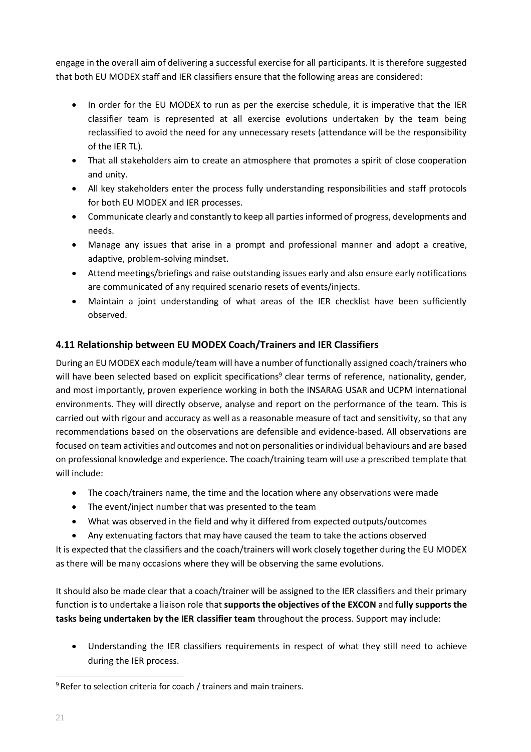engage in the overall aim of delivering a successful exercise for all participants. It is therefore suggested that both EU MODEX staff and IER classifiers ensure that the following areas are considered:

- In order for the EU MODEX to run as per the exercise schedule, it is imperative that the IER classifier team is represented at all exercise evolutions undertaken by the team being reclassified to avoid the need for any unnecessary resets (attendance will be the responsibility of the IER TL).
- That all stakeholders aim to create an atmosphere that promotes a spirit of close cooperation and unity.
- All key stakeholders enter the process fully understanding responsibilities and staff protocols for both EU MODEX and IER processes.
- Communicate clearly and constantly to keep all parties informed of progress, developments and needs.
- Manage any issues that arise in a prompt and professional manner and adopt a creative, adaptive, problem-solving mindset.
- Attend meetings/briefings and raise outstanding issues early and also ensure early notifications are communicated of any required scenario resets of events/injects.
- Maintain a joint understanding of what areas of the IER checklist have been sufficiently observed.

# <span id="page-20-0"></span>**4.11 Relationship between EU MODEX Coach/Trainers and IER Classifiers**

During an EU MODEX each module/team will have a number of functionally assigned coach/trainers who will have been selected based on explicit specifications<sup>9</sup> clear terms of reference, nationality, gender, and most importantly, proven experience working in both the INSARAG USAR and UCPM international environments. They will directly observe, analyse and report on the performance of the team. This is carried out with rigour and accuracy as well as a reasonable measure of tact and sensitivity, so that any recommendations based on the observations are defensible and evidence-based. All observations are focused on team activities and outcomes and not on personalities or individual behaviours and are based on professional knowledge and experience. The coach/training team will use a prescribed template that will include:

- The coach/trainers name, the time and the location where any observations were made
- The event/inject number that was presented to the team
- What was observed in the field and why it differed from expected outputs/outcomes
- Any extenuating factors that may have caused the team to take the actions observed

It is expected that the classifiers and the coach/trainers will work closely together during the EU MODEX as there will be many occasions where they will be observing the same evolutions.

It should also be made clear that a coach/trainer will be assigned to the IER classifiers and their primary function is to undertake a liaison role that **supports the objectives of the EXCON** and **fully supports the tasks being undertaken by the IER classifier team** throughout the process. Support may include:

• Understanding the IER classifiers requirements in respect of what they still need to achieve during the IER process.

 $9$  Refer to selection criteria for coach / trainers and main trainers.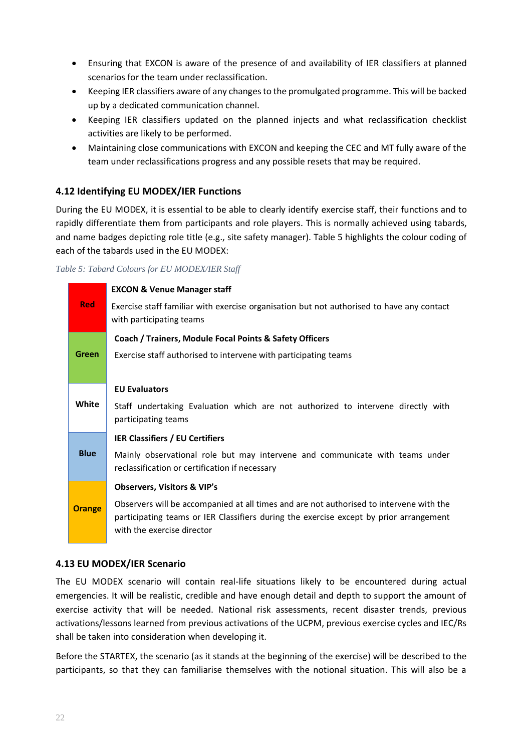- Ensuring that EXCON is aware of the presence of and availability of IER classifiers at planned scenarios for the team under reclassification.
- Keeping IER classifiers aware of any changes to the promulgated programme. This will be backed up by a dedicated communication channel.
- Keeping IER classifiers updated on the planned injects and what reclassification checklist activities are likely to be performed.
- Maintaining close communications with EXCON and keeping the CEC and MT fully aware of the team under reclassifications progress and any possible resets that may be required.

# <span id="page-21-0"></span>**4.12 Identifying EU MODEX/IER Functions**

During the EU MODEX, it is essential to be able to clearly identify exercise staff, their functions and to rapidly differentiate them from participants and role players. This is normally achieved using tabards, and name badges depicting role title (e.g., site safety manager). Table 5 highlights the colour coding of each of the tabards used in the EU MODEX:

#### <span id="page-21-2"></span>*Table 5: Tabard Colours for EU MODEX/IER Staff*

|               | <b>EXCON &amp; Venue Manager staff</b>                                                                                                                                                                          |
|---------------|-----------------------------------------------------------------------------------------------------------------------------------------------------------------------------------------------------------------|
| <b>Red</b>    | Exercise staff familiar with exercise organisation but not authorised to have any contact<br>with participating teams                                                                                           |
|               | Coach / Trainers, Module Focal Points & Safety Officers                                                                                                                                                         |
| <b>Green</b>  | Exercise staff authorised to intervene with participating teams                                                                                                                                                 |
|               |                                                                                                                                                                                                                 |
| White         | <b>EU Evaluators</b>                                                                                                                                                                                            |
|               | Staff undertaking Evaluation which are not authorized to intervene directly with<br>participating teams                                                                                                         |
|               | <b>IER Classifiers / EU Certifiers</b>                                                                                                                                                                          |
| <b>Blue</b>   | Mainly observational role but may intervene and communicate with teams under<br>reclassification or certification if necessary                                                                                  |
|               | <b>Observers, Visitors &amp; VIP's</b>                                                                                                                                                                          |
| <b>Orange</b> | Observers will be accompanied at all times and are not authorised to intervene with the<br>participating teams or IER Classifiers during the exercise except by prior arrangement<br>with the exercise director |

# <span id="page-21-1"></span>**4.13 EU MODEX/IER Scenario**

The EU MODEX scenario will contain real-life situations likely to be encountered during actual emergencies. It will be realistic, credible and have enough detail and depth to support the amount of exercise activity that will be needed. National risk assessments, recent disaster trends, previous activations/lessons learned from previous activations of the UCPM, previous exercise cycles and IEC/Rs shall be taken into consideration when developing it.

Before the STARTEX, the scenario (as it stands at the beginning of the exercise) will be described to the participants, so that they can familiarise themselves with the notional situation. This will also be a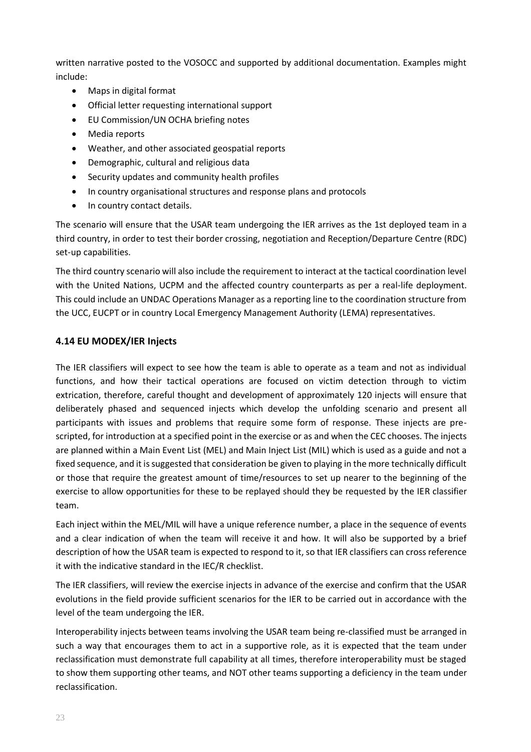written narrative posted to the VOSOCC and supported by additional documentation. Examples might include:

- Maps in digital format
- Official letter requesting international support
- EU Commission/UN OCHA briefing notes
- Media reports
- Weather, and other associated geospatial reports
- Demographic, cultural and religious data
- Security updates and community health profiles
- In country organisational structures and response plans and protocols
- In country contact details.

The scenario will ensure that the USAR team undergoing the IER arrives as the 1st deployed team in a third country, in order to test their border crossing, negotiation and Reception/Departure Centre (RDC) set-up capabilities.

The third country scenario will also include the requirement to interact at the tactical coordination level with the United Nations, UCPM and the affected country counterparts as per a real-life deployment. This could include an UNDAC Operations Manager as a reporting line to the coordination structure from the UCC, EUCPT or in country Local Emergency Management Authority (LEMA) representatives.

# <span id="page-22-0"></span>**4.14 EU MODEX/IER Injects**

The IER classifiers will expect to see how the team is able to operate as a team and not as individual functions, and how their tactical operations are focused on victim detection through to victim extrication, therefore, careful thought and development of approximately 120 injects will ensure that deliberately phased and sequenced injects which develop the unfolding scenario and present all participants with issues and problems that require some form of response. These injects are prescripted, for introduction at a specified point in the exercise or as and when the CEC chooses. The injects are planned within a Main Event List (MEL) and Main Inject List (MIL) which is used as a guide and not a fixed sequence, and it is suggested that consideration be given to playing in the more technically difficult or those that require the greatest amount of time/resources to set up nearer to the beginning of the exercise to allow opportunities for these to be replayed should they be requested by the IER classifier team.

Each inject within the MEL/MIL will have a unique reference number, a place in the sequence of events and a clear indication of when the team will receive it and how. It will also be supported by a brief description of how the USAR team is expected to respond to it, so that IER classifiers can cross reference it with the indicative standard in the IEC/R checklist.

The IER classifiers, will review the exercise injects in advance of the exercise and confirm that the USAR evolutions in the field provide sufficient scenarios for the IER to be carried out in accordance with the level of the team undergoing the IER.

Interoperability injects between teams involving the USAR team being re-classified must be arranged in such a way that encourages them to act in a supportive role, as it is expected that the team under reclassification must demonstrate full capability at all times, therefore interoperability must be staged to show them supporting other teams, and NOT other teams supporting a deficiency in the team under reclassification.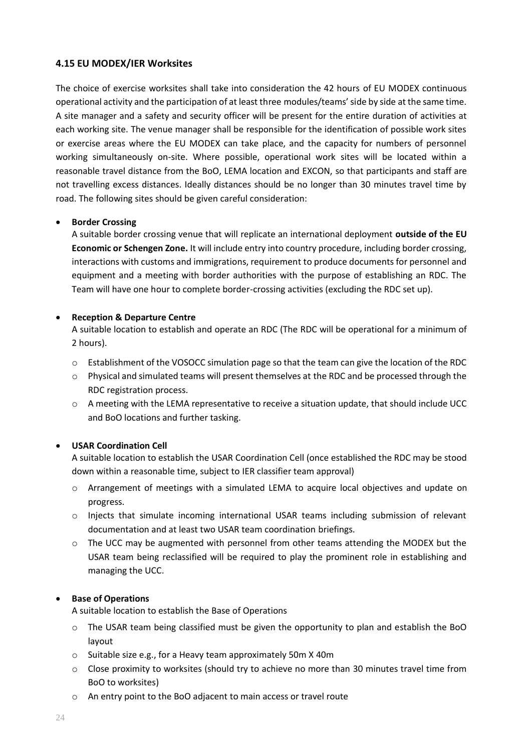# <span id="page-23-0"></span>**4.15 EU MODEX/IER Worksites**

The choice of exercise worksites shall take into consideration the 42 hours of EU MODEX continuous operational activity and the participation of at least three modules/teams' side by side at the same time. A site manager and a safety and security officer will be present for the entire duration of activities at each working site. The venue manager shall be responsible for the identification of possible work sites or exercise areas where the EU MODEX can take place, and the capacity for numbers of personnel working simultaneously on-site. Where possible, operational work sites will be located within a reasonable travel distance from the BoO, LEMA location and EXCON, so that participants and staff are not travelling excess distances. Ideally distances should be no longer than 30 minutes travel time by road. The following sites should be given careful consideration:

# • **Border Crossing**

A suitable border crossing venue that will replicate an international deployment **outside of the EU Economic or Schengen Zone.** It will include entry into country procedure, including border crossing, interactions with customs and immigrations, requirement to produce documents for personnel and equipment and a meeting with border authorities with the purpose of establishing an RDC. The Team will have one hour to complete border-crossing activities (excluding the RDC set up).

## • **Reception & Departure Centre**

A suitable location to establish and operate an RDC (The RDC will be operational for a minimum of 2 hours).

- o Establishment of the VOSOCC simulation page so that the team can give the location of the RDC
- $\circ$  Physical and simulated teams will present themselves at the RDC and be processed through the RDC registration process.
- o A meeting with the LEMA representative to receive a situation update, that should include UCC and BoO locations and further tasking.

# • **USAR Coordination Cell**

A suitable location to establish the USAR Coordination Cell (once established the RDC may be stood down within a reasonable time, subject to IER classifier team approval)

- o Arrangement of meetings with a simulated LEMA to acquire local objectives and update on progress.
- o Injects that simulate incoming international USAR teams including submission of relevant documentation and at least two USAR team coordination briefings.
- $\circ$  The UCC may be augmented with personnel from other teams attending the MODEX but the USAR team being reclassified will be required to play the prominent role in establishing and managing the UCC.

#### • **Base of Operations**

A suitable location to establish the Base of Operations

- o The USAR team being classified must be given the opportunity to plan and establish the BoO layout
- o Suitable size e.g., for a Heavy team approximately 50m X 40m
- $\circ$  Close proximity to worksites (should try to achieve no more than 30 minutes travel time from BoO to worksites)
- o An entry point to the BoO adjacent to main access or travel route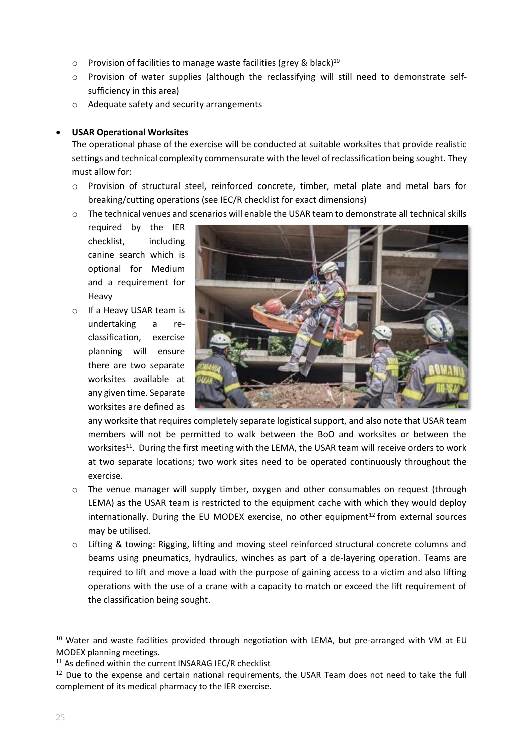- $\circ$  Provision of facilities to manage waste facilities (grey & black)<sup>10</sup>
- $\circ$  Provision of water supplies (although the reclassifying will still need to demonstrate selfsufficiency in this area)
- o Adequate safety and security arrangements

## • **USAR Operational Worksites**

The operational phase of the exercise will be conducted at suitable worksites that provide realistic settings and technical complexity commensurate with the level of reclassification being sought. They must allow for:

- o Provision of structural steel, reinforced concrete, timber, metal plate and metal bars for breaking/cutting operations (see IEC/R checklist for exact dimensions)
- o The technical venues and scenarios will enable the USAR team to demonstrate all technical skills
	- required by the IER checklist, including canine search which is optional for Medium and a requirement for Heavy
- o If a Heavy USAR team is undertaking a reclassification, exercise planning will ensure there are two separate worksites available at any given time. Separate worksites are defined as



any worksite that requires completely separate logistical support, and also note that USAR team members will not be permitted to walk between the BoO and worksites or between the worksites<sup>11</sup>. During the first meeting with the LEMA, the USAR team will receive orders to work at two separate locations; two work sites need to be operated continuously throughout the exercise.

- $\circ$  The venue manager will supply timber, oxygen and other consumables on request (through LEMA) as the USAR team is restricted to the equipment cache with which they would deploy internationally. During the EU MODEX exercise, no other equipment $^{12}$  from external sources may be utilised.
- $\circ$  Lifting & towing: Rigging, lifting and moving steel reinforced structural concrete columns and beams using pneumatics, hydraulics, winches as part of a de-layering operation. Teams are required to lift and move a load with the purpose of gaining access to a victim and also lifting operations with the use of a crane with a capacity to match or exceed the lift requirement of the classification being sought.

 $10$  Water and waste facilities provided through negotiation with LEMA, but pre-arranged with VM at EU MODEX planning meetings.

 $11$  As defined within the current INSARAG IEC/R checklist

 $12$  Due to the expense and certain national requirements, the USAR Team does not need to take the full complement of its medical pharmacy to the IER exercise.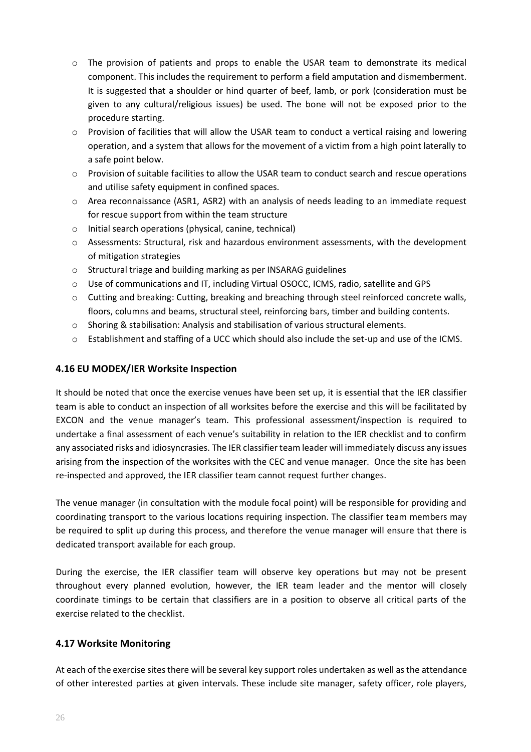- o The provision of patients and props to enable the USAR team to demonstrate its medical component. This includes the requirement to perform a field amputation and dismemberment. It is suggested that a shoulder or hind quarter of beef, lamb, or pork (consideration must be given to any cultural/religious issues) be used. The bone will not be exposed prior to the procedure starting.
- $\circ$  Provision of facilities that will allow the USAR team to conduct a vertical raising and lowering operation, and a system that allows for the movement of a victim from a high point laterally to a safe point below.
- o Provision of suitable facilities to allow the USAR team to conduct search and rescue operations and utilise safety equipment in confined spaces.
- o Area reconnaissance (ASR1, ASR2) with an analysis of needs leading to an immediate request for rescue support from within the team structure
- o Initial search operations (physical, canine, technical)
- o Assessments: Structural, risk and hazardous environment assessments, with the development of mitigation strategies
- o Structural triage and building marking as per INSARAG guidelines
- o Use of communications and IT, including Virtual OSOCC, ICMS, radio, satellite and GPS
- o Cutting and breaking: Cutting, breaking and breaching through steel reinforced concrete walls, floors, columns and beams, structural steel, reinforcing bars, timber and building contents.
- o Shoring & stabilisation: Analysis and stabilisation of various structural elements.
- o Establishment and staffing of a UCC which should also include the set-up and use of the ICMS.

# <span id="page-25-0"></span>**4.16 EU MODEX/IER Worksite Inspection**

It should be noted that once the exercise venues have been set up, it is essential that the IER classifier team is able to conduct an inspection of all worksites before the exercise and this will be facilitated by EXCON and the venue manager's team. This professional assessment/inspection is required to undertake a final assessment of each venue's suitability in relation to the IER checklist and to confirm any associated risks and idiosyncrasies. The IER classifier team leader will immediately discuss any issues arising from the inspection of the worksites with the CEC and venue manager. Once the site has been re-inspected and approved, the IER classifier team cannot request further changes.

The venue manager (in consultation with the module focal point) will be responsible for providing and coordinating transport to the various locations requiring inspection. The classifier team members may be required to split up during this process, and therefore the venue manager will ensure that there is dedicated transport available for each group.

During the exercise, the IER classifier team will observe key operations but may not be present throughout every planned evolution, however, the IER team leader and the mentor will closely coordinate timings to be certain that classifiers are in a position to observe all critical parts of the exercise related to the checklist.

# <span id="page-25-1"></span>**4.17 Worksite Monitoring**

At each of the exercise sites there will be several key support roles undertaken as well as the attendance of other interested parties at given intervals. These include site manager, safety officer, role players,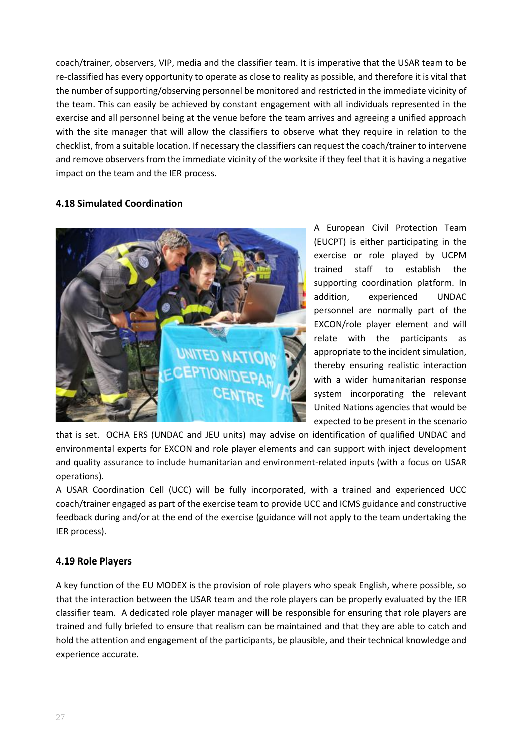coach/trainer, observers, VIP, media and the classifier team. It is imperative that the USAR team to be re-classified has every opportunity to operate as close to reality as possible, and therefore it is vital that the number of supporting/observing personnel be monitored and restricted in the immediate vicinity of the team. This can easily be achieved by constant engagement with all individuals represented in the exercise and all personnel being at the venue before the team arrives and agreeing a unified approach with the site manager that will allow the classifiers to observe what they require in relation to the checklist, from a suitable location. If necessary the classifiers can request the coach/trainer to intervene and remove observers from the immediate vicinity of the worksite if they feel that it is having a negative impact on the team and the IER process.

# <span id="page-26-0"></span>**4.18 Simulated Coordination**



A European Civil Protection Team (EUCPT) is either participating in the exercise or role played by UCPM trained staff to establish the supporting coordination platform. In addition, experienced UNDAC personnel are normally part of the EXCON/role player element and will relate with the participants as appropriate to the incident simulation, thereby ensuring realistic interaction with a wider humanitarian response system incorporating the relevant United Nations agencies that would be expected to be present in the scenario

that is set. OCHA ERS (UNDAC and JEU units) may advise on identification of qualified UNDAC and environmental experts for EXCON and role player elements and can support with inject development and quality assurance to include humanitarian and environment-related inputs (with a focus on USAR operations).

A USAR Coordination Cell (UCC) will be fully incorporated, with a trained and experienced UCC coach/trainer engaged as part of the exercise team to provide UCC and ICMS guidance and constructive feedback during and/or at the end of the exercise (guidance will not apply to the team undertaking the IER process).

# <span id="page-26-1"></span>**4.19 Role Players**

A key function of the EU MODEX is the provision of role players who speak English, where possible, so that the interaction between the USAR team and the role players can be properly evaluated by the IER classifier team. A dedicated role player manager will be responsible for ensuring that role players are trained and fully briefed to ensure that realism can be maintained and that they are able to catch and hold the attention and engagement of the participants, be plausible, and their technical knowledge and experience accurate.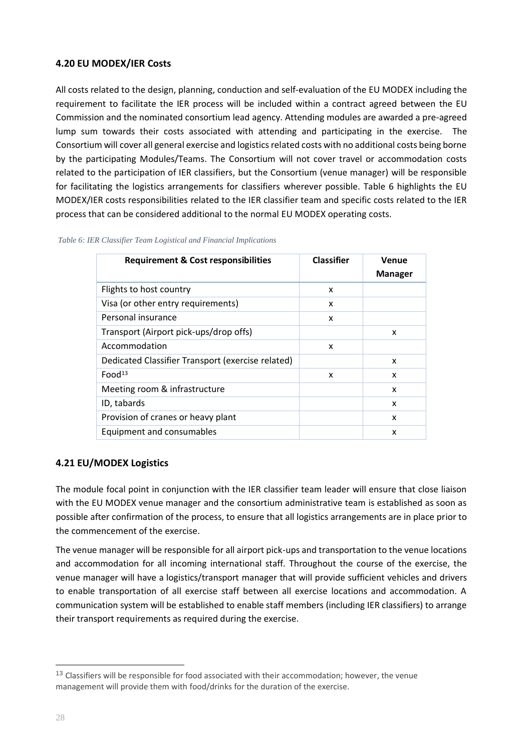# <span id="page-27-0"></span>**4.20 EU MODEX/IER Costs**

All costs related to the design, planning, conduction and self-evaluation of the EU MODEX including the requirement to facilitate the IER process will be included within a contract agreed between the EU Commission and the nominated consortium lead agency. Attending modules are awarded a pre-agreed lump sum towards their costs associated with attending and participating in the exercise. The Consortium will cover all general exercise and logistics related costs with no additional costs being borne by the participating Modules/Teams. The Consortium will not cover travel or accommodation costs related to the participation of IER classifiers, but the Consortium (venue manager) will be responsible for facilitating the logistics arrangements for classifiers wherever possible. Table 6 highlights the EU MODEX/IER costs responsibilities related to the IER classifier team and specific costs related to the IER process that can be considered additional to the normal EU MODEX operating costs.

| <b>Requirement &amp; Cost responsibilities</b>    | <b>Classifier</b> | Venue<br><b>Manager</b> |
|---------------------------------------------------|-------------------|-------------------------|
| Flights to host country                           | X                 |                         |
| Visa (or other entry requirements)                | x                 |                         |
| Personal insurance                                | X                 |                         |
| Transport (Airport pick-ups/drop offs)            |                   | X                       |
| Accommodation                                     | X                 |                         |
| Dedicated Classifier Transport (exercise related) |                   | x                       |
| Food <sup>13</sup>                                | X                 | X                       |
| Meeting room & infrastructure                     |                   | X                       |
| ID, tabards                                       |                   | X                       |
| Provision of cranes or heavy plant                |                   | x                       |
| Equipment and consumables                         |                   | x                       |

<span id="page-27-2"></span>*Table 6: IER Classifier Team Logistical and Financial Implications*

# <span id="page-27-1"></span>**4.21 EU/MODEX Logistics**

The module focal point in conjunction with the IER classifier team leader will ensure that close liaison with the EU MODEX venue manager and the consortium administrative team is established as soon as possible after confirmation of the process, to ensure that all logistics arrangements are in place prior to the commencement of the exercise.

The venue manager will be responsible for all airport pick-ups and transportation to the venue locations and accommodation for all incoming international staff. Throughout the course of the exercise, the venue manager will have a logistics/transport manager that will provide sufficient vehicles and drivers to enable transportation of all exercise staff between all exercise locations and accommodation. A communication system will be established to enable staff members (including IER classifiers) to arrange their transport requirements as required during the exercise.

<sup>&</sup>lt;sup>13</sup> Classifiers will be responsible for food associated with their accommodation; however, the venue management will provide them with food/drinks for the duration of the exercise.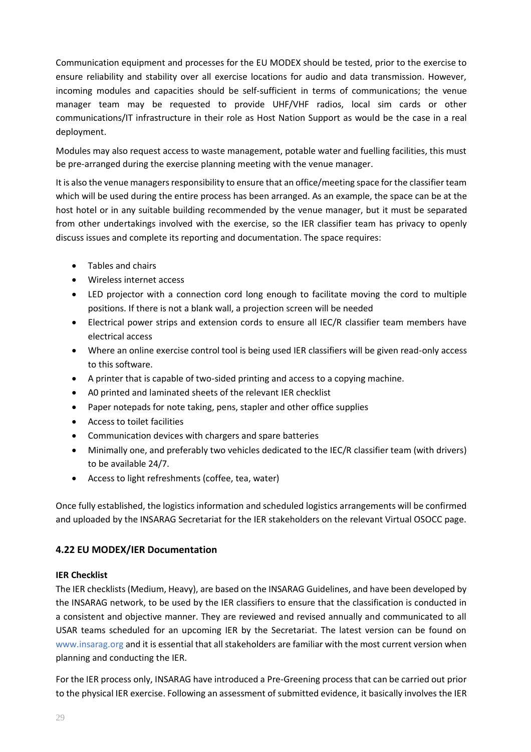Communication equipment and processes for the EU MODEX should be tested, prior to the exercise to ensure reliability and stability over all exercise locations for audio and data transmission. However, incoming modules and capacities should be self-sufficient in terms of communications; the venue manager team may be requested to provide UHF/VHF radios, local sim cards or other communications/IT infrastructure in their role as Host Nation Support as would be the case in a real deployment.

Modules may also request access to waste management, potable water and fuelling facilities, this must be pre-arranged during the exercise planning meeting with the venue manager.

It is also the venue managers responsibility to ensure that an office/meeting space for the classifier team which will be used during the entire process has been arranged. As an example, the space can be at the host hotel or in any suitable building recommended by the venue manager, but it must be separated from other undertakings involved with the exercise, so the IER classifier team has privacy to openly discuss issues and complete its reporting and documentation. The space requires:

- Tables and chairs
- Wireless internet access
- LED projector with a connection cord long enough to facilitate moving the cord to multiple positions. If there is not a blank wall, a projection screen will be needed
- Electrical power strips and extension cords to ensure all IEC/R classifier team members have electrical access
- Where an online exercise control tool is being used IER classifiers will be given read-only access to this software.
- A printer that is capable of two-sided printing and access to a copying machine.
- A0 printed and laminated sheets of the relevant IER checklist
- Paper notepads for note taking, pens, stapler and other office supplies
- Access to toilet facilities
- Communication devices with chargers and spare batteries
- Minimally one, and preferably two vehicles dedicated to the IEC/R classifier team (with drivers) to be available 24/7.
- Access to light refreshments (coffee, tea, water)

Once fully established, the logistics information and scheduled logistics arrangements will be confirmed and uploaded by the INSARAG Secretariat for the IER stakeholders on the relevant Virtual OSOCC page.

# <span id="page-28-0"></span>**4.22 EU MODEX/IER Documentation**

#### **IER Checklist**

The IER checklists (Medium, Heavy), are based on the INSARAG Guidelines, and have been developed by the INSARAG network, to be used by the IER classifiers to ensure that the classification is conducted in a consistent and objective manner. They are reviewed and revised annually and communicated to all USAR teams scheduled for an upcoming IER by the Secretariat. The latest version can be found on [www.insarag.org](http://www.insarag.org/) and it is essential that all stakeholders are familiar with the most current version when planning and conducting the IER.

For the IER process only, INSARAG have introduced a Pre-Greening process that can be carried out prior to the physical IER exercise. Following an assessment of submitted evidence, it basically involves the IER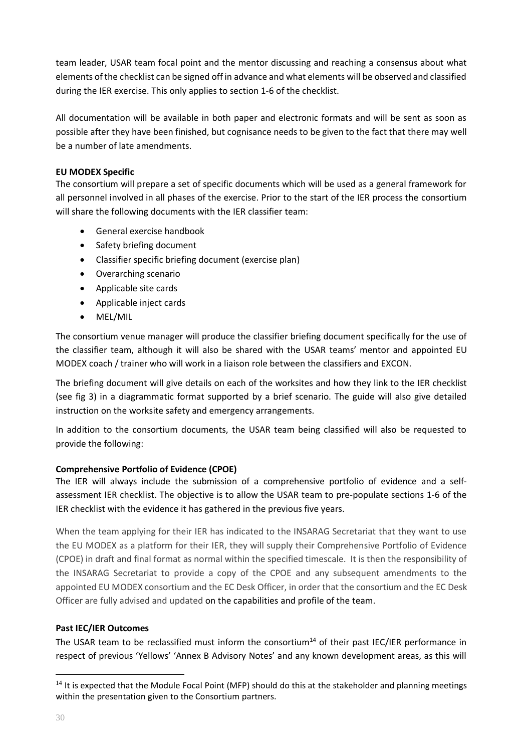team leader, USAR team focal point and the mentor discussing and reaching a consensus about what elements of the checklist can be signed off in advance and what elements will be observed and classified during the IER exercise. This only applies to section 1-6 of the checklist.

All documentation will be available in both paper and electronic formats and will be sent as soon as possible after they have been finished, but cognisance needs to be given to the fact that there may well be a number of late amendments.

# **EU MODEX Specific**

The consortium will prepare a set of specific documents which will be used as a general framework for all personnel involved in all phases of the exercise. Prior to the start of the IER process the consortium will share the following documents with the IER classifier team:

- General exercise handbook
- Safety briefing document
- Classifier specific briefing document (exercise plan)
- Overarching scenario
- Applicable site cards
- Applicable inject cards
- MEL/MIL

The consortium venue manager will produce the classifier briefing document specifically for the use of the classifier team, although it will also be shared with the USAR teams' mentor and appointed EU MODEX coach / trainer who will work in a liaison role between the classifiers and EXCON.

The briefing document will give details on each of the worksites and how they link to the IER checklist (see fig 3) in a diagrammatic format supported by a brief scenario. The guide will also give detailed instruction on the worksite safety and emergency arrangements.

In addition to the consortium documents, the USAR team being classified will also be requested to provide the following:

# **Comprehensive Portfolio of Evidence (CPOE)**

The IER will always include the submission of a comprehensive portfolio of evidence and a selfassessment IER checklist. The objective is to allow the USAR team to pre-populate sections 1-6 of the IER checklist with the evidence it has gathered in the previous five years.

When the team applying for their IER has indicated to the INSARAG Secretariat that they want to use the EU MODEX as a platform for their IER, they will supply their Comprehensive Portfolio of Evidence (CPOE) in draft and final format as normal within the specified timescale. It is then the responsibility of the INSARAG Secretariat to provide a copy of the CPOE and any subsequent amendments to the appointed EU MODEX consortium and the EC Desk Officer, in order that the consortium and the EC Desk Officer are fully advised and updated on the capabilities and profile of the team.

# **Past IEC/IER Outcomes**

The USAR team to be reclassified must inform the consortium<sup>14</sup> of their past IEC/IER performance in respect of previous 'Yellows' 'Annex B Advisory Notes' and any known development areas, as this will

 $14$  It is expected that the Module Focal Point (MFP) should do this at the stakeholder and planning meetings within the presentation given to the Consortium partners.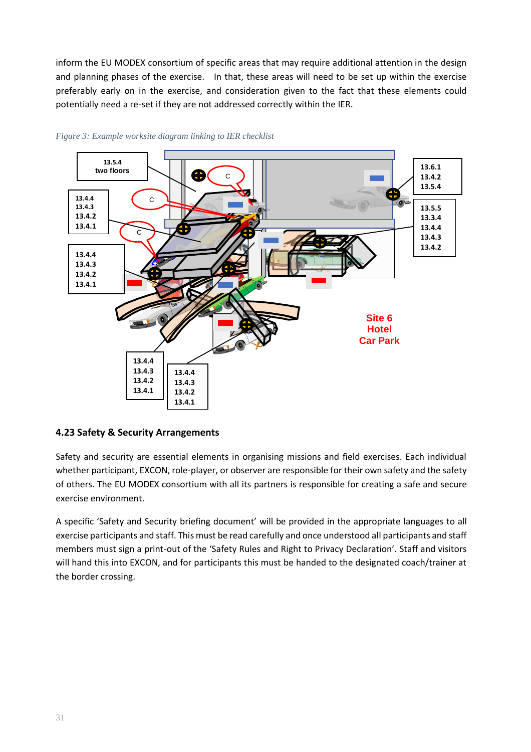inform the EU MODEX consortium of specific areas that may require additional attention in the design and planning phases of the exercise. In that, these areas will need to be set up within the exercise preferably early on in the exercise, and consideration given to the fact that these elements could potentially need a re-set if they are not addressed correctly within the IER.



<span id="page-30-1"></span>

# <span id="page-30-0"></span>**4.23 Safety & Security Arrangements**

Safety and security are essential elements in organising missions and field exercises. Each individual whether participant, EXCON, role-player, or observer are responsible for their own safety and the safety of others. The EU MODEX consortium with all its partners is responsible for creating a safe and secure exercise environment.

A specific 'Safety and Security briefing document' will be provided in the appropriate languages to all exercise participants and staff. This must be read carefully and once understood all participants and staff members must sign a print-out of the 'Safety Rules and Right to Privacy Declaration'. Staff and visitors will hand this into EXCON, and for participants this must be handed to the designated coach/trainer at the border crossing.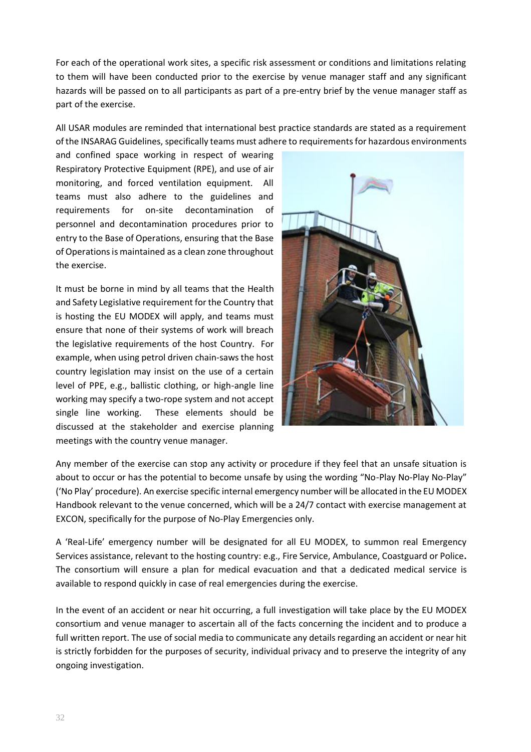For each of the operational work sites, a specific risk assessment or conditions and limitations relating to them will have been conducted prior to the exercise by venue manager staff and any significant hazards will be passed on to all participants as part of a pre-entry brief by the venue manager staff as part of the exercise.

All USAR modules are reminded that international best practice standards are stated as a requirement of the INSARAG Guidelines, specifically teams must adhere to requirements for hazardous environments

and confined space working in respect of wearing Respiratory Protective Equipment (RPE), and use of air monitoring, and forced ventilation equipment. All teams must also adhere to the guidelines and requirements for on-site decontamination of personnel and decontamination procedures prior to entry to the Base of Operations, ensuring that the Base of Operations is maintained as a clean zone throughout the exercise.

It must be borne in mind by all teams that the Health and Safety Legislative requirement for the Country that is hosting the EU MODEX will apply, and teams must ensure that none of their systems of work will breach the legislative requirements of the host Country. For example, when using petrol driven chain-saws the host country legislation may insist on the use of a certain level of PPE, e.g., ballistic clothing, or high-angle line working may specify a two-rope system and not accept single line working. These elements should be discussed at the stakeholder and exercise planning meetings with the country venue manager.



Any member of the exercise can stop any activity or procedure if they feel that an unsafe situation is about to occur or has the potential to become unsafe by using the wording "No-Play No-Play No-Play" ('No Play' procedure). An exercise specific internal emergency number will be allocated in the EU MODEX Handbook relevant to the venue concerned, which will be a 24/7 contact with exercise management at EXCON, specifically for the purpose of No-Play Emergencies only.

A 'Real-Life' emergency number will be designated for all EU MODEX, to summon real Emergency Services assistance, relevant to the hosting country: e.g., Fire Service, Ambulance, Coastguard or Police**.**  The consortium will ensure a plan for medical evacuation and that a dedicated medical service is available to respond quickly in case of real emergencies during the exercise.

In the event of an accident or near hit occurring, a full investigation will take place by the EU MODEX consortium and venue manager to ascertain all of the facts concerning the incident and to produce a full written report. The use of social media to communicate any details regarding an accident or near hit is strictly forbidden for the purposes of security, individual privacy and to preserve the integrity of any ongoing investigation.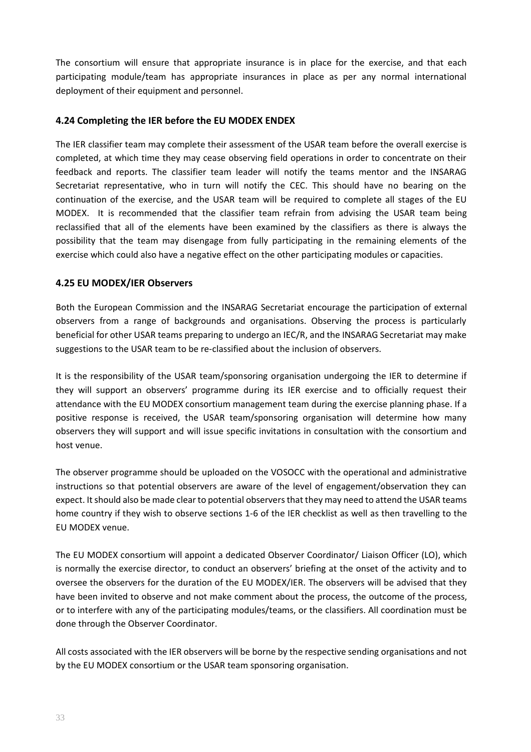The consortium will ensure that appropriate insurance is in place for the exercise, and that each participating module/team has appropriate insurances in place as per any normal international deployment of their equipment and personnel.

# <span id="page-32-0"></span>**4.24 Completing the IER before the EU MODEX ENDEX**

The IER classifier team may complete their assessment of the USAR team before the overall exercise is completed, at which time they may cease observing field operations in order to concentrate on their feedback and reports. The classifier team leader will notify the teams mentor and the INSARAG Secretariat representative, who in turn will notify the CEC. This should have no bearing on the continuation of the exercise, and the USAR team will be required to complete all stages of the EU MODEX. It is recommended that the classifier team refrain from advising the USAR team being reclassified that all of the elements have been examined by the classifiers as there is always the possibility that the team may disengage from fully participating in the remaining elements of the exercise which could also have a negative effect on the other participating modules or capacities.

## <span id="page-32-1"></span>**4.25 EU MODEX/IER Observers**

Both the European Commission and the INSARAG Secretariat encourage the participation of external observers from a range of backgrounds and organisations. Observing the process is particularly beneficial for other USAR teams preparing to undergo an IEC/R, and the INSARAG Secretariat may make suggestions to the USAR team to be re-classified about the inclusion of observers.

It is the responsibility of the USAR team/sponsoring organisation undergoing the IER to determine if they will support an observers' programme during its IER exercise and to officially request their attendance with the EU MODEX consortium management team during the exercise planning phase. If a positive response is received, the USAR team/sponsoring organisation will determine how many observers they will support and will issue specific invitations in consultation with the consortium and host venue.

The observer programme should be uploaded on the VOSOCC with the operational and administrative instructions so that potential observers are aware of the level of engagement/observation they can expect. It should also be made clear to potential observers that they may need to attend the USAR teams home country if they wish to observe sections 1-6 of the IER checklist as well as then travelling to the EU MODEX venue.

The EU MODEX consortium will appoint a dedicated Observer Coordinator/ Liaison Officer (LO), which is normally the exercise director, to conduct an observers' briefing at the onset of the activity and to oversee the observers for the duration of the EU MODEX/IER. The observers will be advised that they have been invited to observe and not make comment about the process, the outcome of the process, or to interfere with any of the participating modules/teams, or the classifiers. All coordination must be done through the Observer Coordinator.

All costs associated with the IER observers will be borne by the respective sending organisations and not by the EU MODEX consortium or the USAR team sponsoring organisation.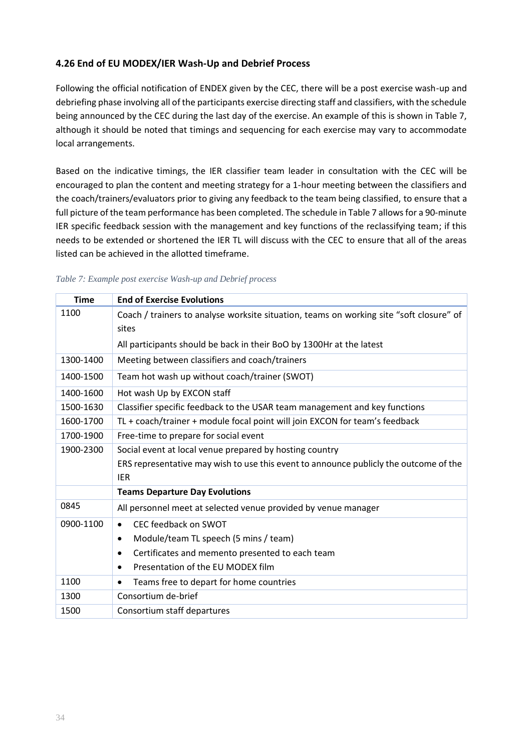# <span id="page-33-0"></span>**4.26 End of EU MODEX/IER Wash-Up and Debrief Process**

Following the official notification of ENDEX given by the CEC, there will be a post exercise wash-up and debriefing phase involving all of the participants exercise directing staff and classifiers, with the schedule being announced by the CEC during the last day of the exercise. An example of this is shown in Table 7, although it should be noted that timings and sequencing for each exercise may vary to accommodate local arrangements.

Based on the indicative timings, the IER classifier team leader in consultation with the CEC will be encouraged to plan the content and meeting strategy for a 1-hour meeting between the classifiers and the coach/trainers/evaluators prior to giving any feedback to the team being classified, to ensure that a full picture of the team performance has been completed. The schedule in Table 7 allows for a 90-minute IER specific feedback session with the management and key functions of the reclassifying team; if this needs to be extended or shortened the IER TL will discuss with the CEC to ensure that all of the areas listed can be achieved in the allotted timeframe.

| <b>Time</b> | <b>End of Exercise Evolutions</b>                                                       |
|-------------|-----------------------------------------------------------------------------------------|
| 1100        | Coach / trainers to analyse worksite situation, teams on working site "soft closure" of |
|             | sites                                                                                   |
|             | All participants should be back in their BoO by 1300Hr at the latest                    |
| 1300-1400   | Meeting between classifiers and coach/trainers                                          |
| 1400-1500   | Team hot wash up without coach/trainer (SWOT)                                           |
| 1400-1600   | Hot wash Up by EXCON staff                                                              |
| 1500-1630   | Classifier specific feedback to the USAR team management and key functions              |
| 1600-1700   | TL + coach/trainer + module focal point will join EXCON for team's feedback             |
| 1700-1900   | Free-time to prepare for social event                                                   |
| 1900-2300   | Social event at local venue prepared by hosting country                                 |
|             | ERS representative may wish to use this event to announce publicly the outcome of the   |
|             | <b>IER</b>                                                                              |
|             | <b>Teams Departure Day Evolutions</b>                                                   |
| 0845        | All personnel meet at selected venue provided by venue manager                          |
| 0900-1100   | CEC feedback on SWOT<br>$\bullet$                                                       |
|             | Module/team TL speech (5 mins / team)<br>$\bullet$                                      |
|             | Certificates and memento presented to each team<br>$\bullet$                            |
|             | Presentation of the EU MODEX film                                                       |
| 1100        | Teams free to depart for home countries<br>٠                                            |
| 1300        | Consortium de-brief                                                                     |
| 1500        | Consortium staff departures                                                             |

<span id="page-33-1"></span>

| Table 7: Example post exercise Wash-up and Debrief process |  |  |  |
|------------------------------------------------------------|--|--|--|
|------------------------------------------------------------|--|--|--|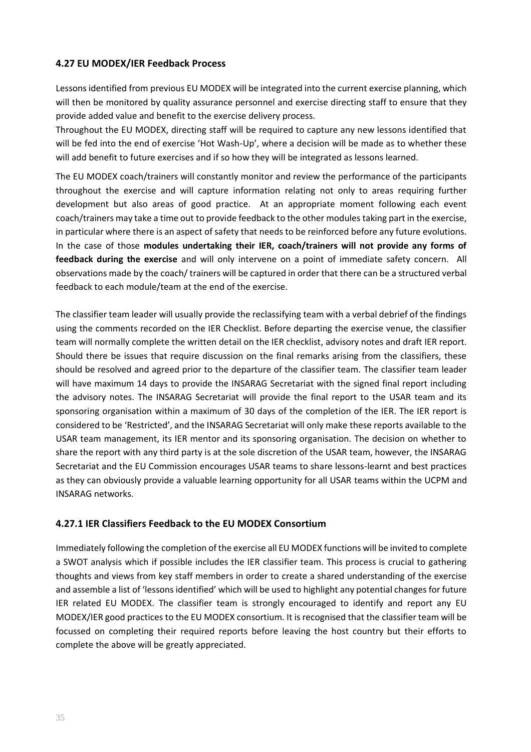# <span id="page-34-0"></span>**4.27 EU MODEX/IER Feedback Process**

Lessons identified from previous EU MODEX will be integrated into the current exercise planning, which will then be monitored by quality assurance personnel and exercise directing staff to ensure that they provide added value and benefit to the exercise delivery process.

Throughout the EU MODEX, directing staff will be required to capture any new lessons identified that will be fed into the end of exercise 'Hot Wash-Up', where a decision will be made as to whether these will add benefit to future exercises and if so how they will be integrated as lessons learned.

The EU MODEX coach/trainers will constantly monitor and review the performance of the participants throughout the exercise and will capture information relating not only to areas requiring further development but also areas of good practice. At an appropriate moment following each event coach/trainers may take a time out to provide feedback to the other modules taking part in the exercise, in particular where there is an aspect of safety that needs to be reinforced before any future evolutions. In the case of those **modules undertaking their IER, coach/trainers will not provide any forms of feedback during the exercise** and will only intervene on a point of immediate safety concern. All observations made by the coach/ trainers will be captured in order that there can be a structured verbal feedback to each module/team at the end of the exercise.

The classifier team leader will usually provide the reclassifying team with a verbal debrief of the findings using the comments recorded on the IER Checklist. Before departing the exercise venue, the classifier team will normally complete the written detail on the IER checklist, advisory notes and draft IER report. Should there be issues that require discussion on the final remarks arising from the classifiers, these should be resolved and agreed prior to the departure of the classifier team. The classifier team leader will have maximum 14 days to provide the INSARAG Secretariat with the signed final report including the advisory notes. The INSARAG Secretariat will provide the final report to the USAR team and its sponsoring organisation within a maximum of 30 days of the completion of the IER. The IER report is considered to be 'Restricted', and the INSARAG Secretariat will only make these reports available to the USAR team management, its IER mentor and its sponsoring organisation. The decision on whether to share the report with any third party is at the sole discretion of the USAR team, however, the INSARAG Secretariat and the EU Commission encourages USAR teams to share lessons-learnt and best practices as they can obviously provide a valuable learning opportunity for all USAR teams within the UCPM and INSARAG networks.

# <span id="page-34-1"></span>**4.27.1 IER Classifiers Feedback to the EU MODEX Consortium**

Immediately following the completion of the exercise all EU MODEX functions will be invited to complete a SWOT analysis which if possible includes the IER classifier team. This process is crucial to gathering thoughts and views from key staff members in order to create a shared understanding of the exercise and assemble a list of 'lessons identified' which will be used to highlight any potential changes for future IER related EU MODEX. The classifier team is strongly encouraged to identify and report any EU MODEX/IER good practices to the EU MODEX consortium. It is recognised that the classifier team will be focussed on completing their required reports before leaving the host country but their efforts to complete the above will be greatly appreciated.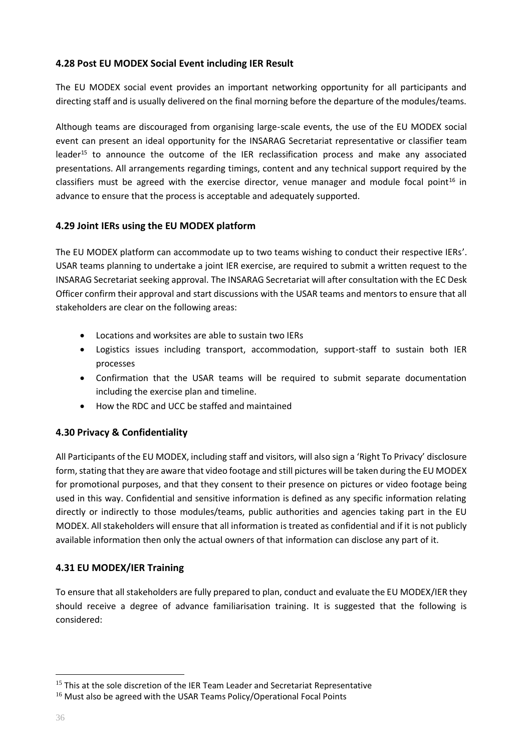# <span id="page-35-0"></span>**4.28 Post EU MODEX Social Event including IER Result**

The EU MODEX social event provides an important networking opportunity for all participants and directing staff and is usually delivered on the final morning before the departure of the modules/teams.

Although teams are discouraged from organising large-scale events, the use of the EU MODEX social event can present an ideal opportunity for the INSARAG Secretariat representative or classifier team leader<sup>15</sup> to announce the outcome of the IER reclassification process and make any associated presentations. All arrangements regarding timings, content and any technical support required by the classifiers must be agreed with the exercise director, venue manager and module focal point<sup>16</sup> in advance to ensure that the process is acceptable and adequately supported.

# <span id="page-35-1"></span>**4.29 Joint IERs using the EU MODEX platform**

The EU MODEX platform can accommodate up to two teams wishing to conduct their respective IERs'. USAR teams planning to undertake a joint IER exercise, are required to submit a written request to the INSARAG Secretariat seeking approval. The INSARAG Secretariat will after consultation with the EC Desk Officer confirm their approval and start discussions with the USAR teams and mentors to ensure that all stakeholders are clear on the following areas:

- Locations and worksites are able to sustain two IERs
- Logistics issues including transport, accommodation, support-staff to sustain both IER processes
- Confirmation that the USAR teams will be required to submit separate documentation including the exercise plan and timeline.
- How the RDC and UCC be staffed and maintained

# <span id="page-35-2"></span>**4.30 Privacy & Confidentiality**

All Participants of the EU MODEX, including staff and visitors, will also sign a 'Right To Privacy' disclosure form, stating that they are aware that video footage and still pictures will be taken during the EU MODEX for promotional purposes, and that they consent to their presence on pictures or video footage being used in this way. Confidential and sensitive information is defined as any specific information relating directly or indirectly to those modules/teams, public authorities and agencies taking part in the EU MODEX. All stakeholders will ensure that all information is treated as confidential and if it is not publicly available information then only the actual owners of that information can disclose any part of it.

# <span id="page-35-3"></span>**4.31 EU MODEX/IER Training**

To ensure that all stakeholders are fully prepared to plan, conduct and evaluate the EU MODEX/IER they should receive a degree of advance familiarisation training. It is suggested that the following is considered:

<sup>&</sup>lt;sup>15</sup> This at the sole discretion of the IER Team Leader and Secretariat Representative

<sup>&</sup>lt;sup>16</sup> Must also be agreed with the USAR Teams Policy/Operational Focal Points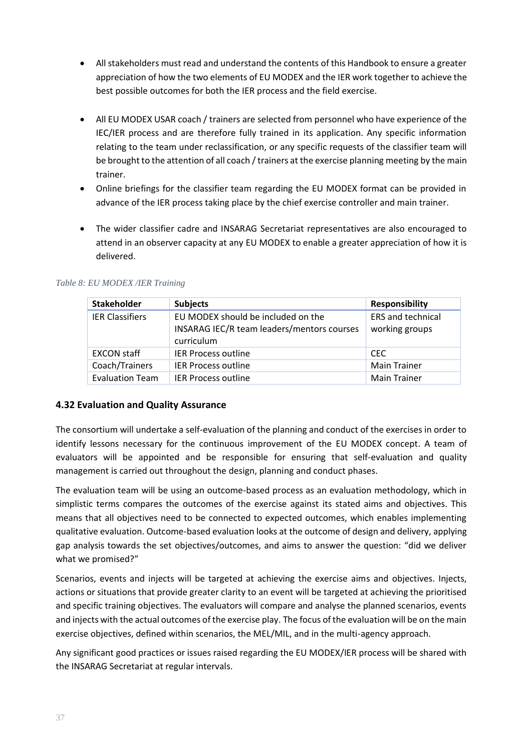- All stakeholders must read and understand the contents of this Handbook to ensure a greater appreciation of how the two elements of EU MODEX and the IER work together to achieve the best possible outcomes for both the IER process and the field exercise.
- All EU MODEX USAR coach / trainers are selected from personnel who have experience of the IEC/IER process and are therefore fully trained in its application. Any specific information relating to the team under reclassification, or any specific requests of the classifier team will be brought to the attention of all coach / trainers at the exercise planning meeting by the main trainer.
- Online briefings for the classifier team regarding the EU MODEX format can be provided in advance of the IER process taking place by the chief exercise controller and main trainer.
- The wider classifier cadre and INSARAG Secretariat representatives are also encouraged to attend in an observer capacity at any EU MODEX to enable a greater appreciation of how it is delivered.

| <b>Stakeholder</b>     | <b>Subjects</b>                                                                                | <b>Responsibility</b>                      |
|------------------------|------------------------------------------------------------------------------------------------|--------------------------------------------|
| <b>IER Classifiers</b> | EU MODEX should be included on the<br>INSARAG IEC/R team leaders/mentors courses<br>curriculum | <b>ERS and technical</b><br>working groups |
| <b>EXCON staff</b>     | <b>IER Process outline</b>                                                                     | <b>CEC</b>                                 |
| Coach/Trainers         | <b>IER Process outline</b>                                                                     | <b>Main Trainer</b>                        |
| <b>Evaluation Team</b> | <b>IER Process outline</b>                                                                     | <b>Main Trainer</b>                        |

## <span id="page-36-1"></span>*Table 8: EU MODEX /IER Training*

# <span id="page-36-0"></span>**4.32 Evaluation and Quality Assurance**

The consortium will undertake a self-evaluation of the planning and conduct of the exercises in order to identify lessons necessary for the continuous improvement of the EU MODEX concept. A team of evaluators will be appointed and be responsible for ensuring that self-evaluation and quality management is carried out throughout the design, planning and conduct phases.

The evaluation team will be using an outcome-based process as an evaluation methodology, which in simplistic terms compares the outcomes of the exercise against its stated aims and objectives. This means that all objectives need to be connected to expected outcomes, which enables implementing qualitative evaluation. Outcome-based evaluation looks at the outcome of design and delivery, applying gap analysis towards the set objectives/outcomes, and aims to answer the question: "did we deliver what we promised?"

Scenarios, events and injects will be targeted at achieving the exercise aims and objectives. Injects, actions or situations that provide greater clarity to an event will be targeted at achieving the prioritised and specific training objectives. The evaluators will compare and analyse the planned scenarios, events and injects with the actual outcomes of the exercise play. The focus of the evaluation will be on the main exercise objectives, defined within scenarios, the MEL/MIL, and in the multi-agency approach.

Any significant good practices or issues raised regarding the EU MODEX/IER process will be shared with the INSARAG Secretariat at regular intervals.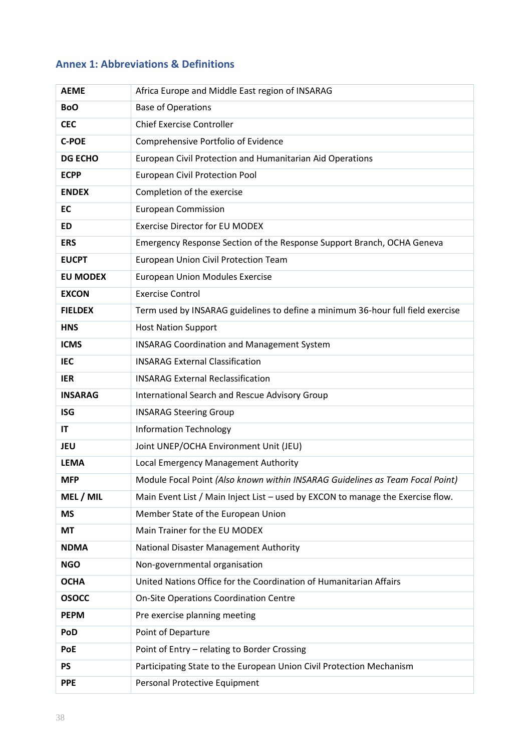# <span id="page-37-0"></span>**Annex 1: Abbreviations & Definitions**

| <b>AEME</b>     | Africa Europe and Middle East region of INSARAG                                 |
|-----------------|---------------------------------------------------------------------------------|
| <b>BoO</b>      | <b>Base of Operations</b>                                                       |
| <b>CEC</b>      | <b>Chief Exercise Controller</b>                                                |
| <b>C-POE</b>    | Comprehensive Portfolio of Evidence                                             |
| <b>DG ECHO</b>  | European Civil Protection and Humanitarian Aid Operations                       |
| <b>ECPP</b>     | <b>European Civil Protection Pool</b>                                           |
| <b>ENDEX</b>    | Completion of the exercise                                                      |
| <b>EC</b>       | <b>European Commission</b>                                                      |
| <b>ED</b>       | <b>Exercise Director for EU MODEX</b>                                           |
| <b>ERS</b>      | Emergency Response Section of the Response Support Branch, OCHA Geneva          |
| <b>EUCPT</b>    | <b>European Union Civil Protection Team</b>                                     |
| <b>EU MODEX</b> | <b>European Union Modules Exercise</b>                                          |
| <b>EXCON</b>    | <b>Exercise Control</b>                                                         |
| <b>FIELDEX</b>  | Term used by INSARAG guidelines to define a minimum 36-hour full field exercise |
| <b>HNS</b>      | <b>Host Nation Support</b>                                                      |
| <b>ICMS</b>     | <b>INSARAG Coordination and Management System</b>                               |
| <b>IEC</b>      | <b>INSARAG External Classification</b>                                          |
| <b>IER</b>      | <b>INSARAG External Reclassification</b>                                        |
| <b>INSARAG</b>  | International Search and Rescue Advisory Group                                  |
| <b>ISG</b>      | <b>INSARAG Steering Group</b>                                                   |
| <b>IT</b>       | <b>Information Technology</b>                                                   |
| <b>JEU</b>      | Joint UNEP/OCHA Environment Unit (JEU)                                          |
| <b>LEMA</b>     | Local Emergency Management Authority                                            |
| <b>MFP</b>      | Module Focal Point (Also known within INSARAG Guidelines as Team Focal Point)   |
| MEL / MIL       | Main Event List / Main Inject List - used by EXCON to manage the Exercise flow. |
| <b>MS</b>       | Member State of the European Union                                              |
| MT              | Main Trainer for the EU MODEX                                                   |
| <b>NDMA</b>     | National Disaster Management Authority                                          |
| <b>NGO</b>      | Non-governmental organisation                                                   |
| <b>OCHA</b>     | United Nations Office for the Coordination of Humanitarian Affairs              |
| <b>OSOCC</b>    | <b>On-Site Operations Coordination Centre</b>                                   |
| <b>PEPM</b>     | Pre exercise planning meeting                                                   |
| PoD             | Point of Departure                                                              |
| PoE             | Point of Entry - relating to Border Crossing                                    |
| <b>PS</b>       | Participating State to the European Union Civil Protection Mechanism            |
| <b>PPE</b>      | Personal Protective Equipment                                                   |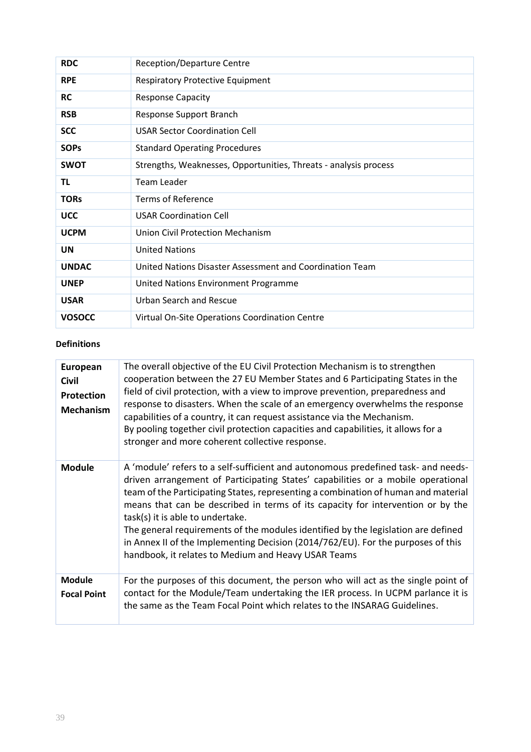| <b>RDC</b>    | Reception/Departure Centre                                       |
|---------------|------------------------------------------------------------------|
| <b>RPE</b>    | <b>Respiratory Protective Equipment</b>                          |
| <b>RC</b>     | <b>Response Capacity</b>                                         |
| <b>RSB</b>    | Response Support Branch                                          |
| <b>SCC</b>    | <b>USAR Sector Coordination Cell</b>                             |
| <b>SOPs</b>   | <b>Standard Operating Procedures</b>                             |
| <b>SWOT</b>   | Strengths, Weaknesses, Opportunities, Threats - analysis process |
| TL            | Team Leader                                                      |
| <b>TORs</b>   | Terms of Reference                                               |
| <b>UCC</b>    | <b>USAR Coordination Cell</b>                                    |
| <b>UCPM</b>   | Union Civil Protection Mechanism                                 |
| UN            | <b>United Nations</b>                                            |
| <b>UNDAC</b>  | United Nations Disaster Assessment and Coordination Team         |
| <b>UNEP</b>   | United Nations Environment Programme                             |
| <b>USAR</b>   | Urban Search and Rescue                                          |
| <b>VOSOCC</b> | Virtual On-Site Operations Coordination Centre                   |

## **Definitions**

| European<br><b>Civil</b><br>Protection<br><b>Mechanism</b> | The overall objective of the EU Civil Protection Mechanism is to strengthen<br>cooperation between the 27 EU Member States and 6 Participating States in the<br>field of civil protection, with a view to improve prevention, preparedness and<br>response to disasters. When the scale of an emergency overwhelms the response<br>capabilities of a country, it can request assistance via the Mechanism.<br>By pooling together civil protection capacities and capabilities, it allows for a<br>stronger and more coherent collective response.                                                                 |
|------------------------------------------------------------|--------------------------------------------------------------------------------------------------------------------------------------------------------------------------------------------------------------------------------------------------------------------------------------------------------------------------------------------------------------------------------------------------------------------------------------------------------------------------------------------------------------------------------------------------------------------------------------------------------------------|
| <b>Module</b>                                              | A 'module' refers to a self-sufficient and autonomous predefined task- and needs-<br>driven arrangement of Participating States' capabilities or a mobile operational<br>team of the Participating States, representing a combination of human and material<br>means that can be described in terms of its capacity for intervention or by the<br>task(s) it is able to undertake.<br>The general requirements of the modules identified by the legislation are defined<br>in Annex II of the Implementing Decision (2014/762/EU). For the purposes of this<br>handbook, it relates to Medium and Heavy USAR Teams |
| Module<br><b>Focal Point</b>                               | For the purposes of this document, the person who will act as the single point of<br>contact for the Module/Team undertaking the IER process. In UCPM parlance it is<br>the same as the Team Focal Point which relates to the INSARAG Guidelines.                                                                                                                                                                                                                                                                                                                                                                  |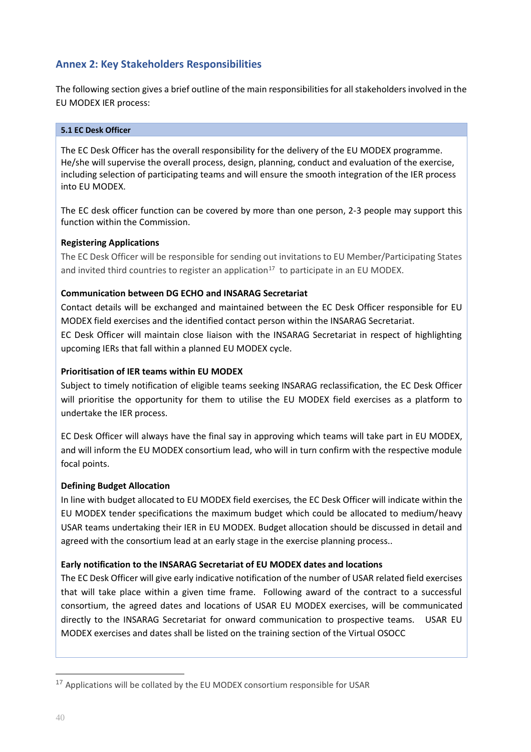# <span id="page-39-0"></span>**Annex 2: Key Stakeholders Responsibilities**

The following section gives a brief outline of the main responsibilities for all stakeholders involved in the EU MODEX IER process:

#### <span id="page-39-1"></span>**5.1 EC Desk Officer**

The EC Desk Officer has the overall responsibility for the delivery of the EU MODEX programme. He/she will supervise the overall process, design, planning, conduct and evaluation of the exercise, including selection of participating teams and will ensure the smooth integration of the IER process into EU MODEX.

The EC desk officer function can be covered by more than one person, 2-3 people may support this function within the Commission.

#### **Registering Applications**

The EC Desk Officer will be responsible for sending out invitations to EU Member/Participating States and invited third countries to register an application<sup>17</sup> to participate in an EU MODEX.

## **Communication between DG ECHO and INSARAG Secretariat**

Contact details will be exchanged and maintained between the EC Desk Officer responsible for EU MODEX field exercises and the identified contact person within the INSARAG Secretariat.

EC Desk Officer will maintain close liaison with the INSARAG Secretariat in respect of highlighting upcoming IERs that fall within a planned EU MODEX cycle.

## **Prioritisation of IER teams within EU MODEX**

Subject to timely notification of eligible teams seeking INSARAG reclassification, the EC Desk Officer will prioritise the opportunity for them to utilise the EU MODEX field exercises as a platform to undertake the IER process.

EC Desk Officer will always have the final say in approving which teams will take part in EU MODEX, and will inform the EU MODEX consortium lead, who will in turn confirm with the respective module focal points.

#### **Defining Budget Allocation**

In line with budget allocated to EU MODEX field exercises, the EC Desk Officer will indicate within the EU MODEX tender specifications the maximum budget which could be allocated to medium/heavy USAR teams undertaking their IER in EU MODEX. Budget allocation should be discussed in detail and agreed with the consortium lead at an early stage in the exercise planning process..

#### **Early notification to the INSARAG Secretariat of EU MODEX dates and locations**

The EC Desk Officer will give early indicative notification of the number of USAR related field exercises that will take place within a given time frame. Following award of the contract to a successful consortium, the agreed dates and locations of USAR EU MODEX exercises, will be communicated directly to the INSARAG Secretariat for onward communication to prospective teams. USAR EU MODEX exercises and dates shall be listed on the training section of the Virtual OSOCC

<sup>&</sup>lt;sup>17</sup> Applications will be collated by the EU MODEX consortium responsible for USAR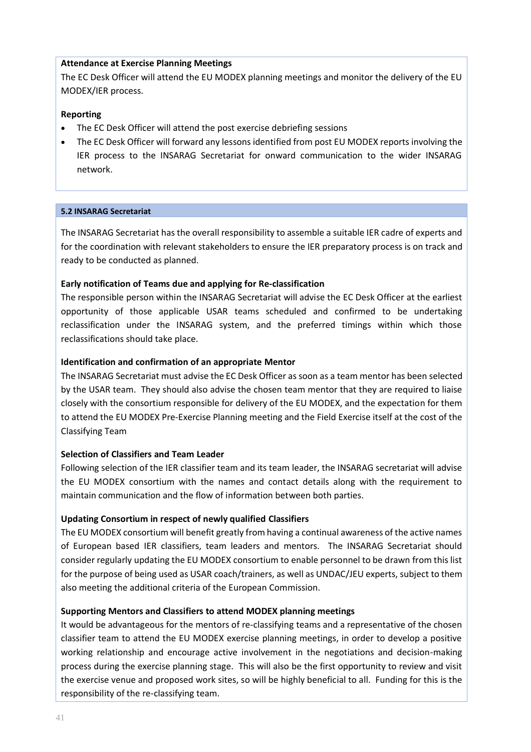## **Attendance at Exercise Planning Meetings**

The EC Desk Officer will attend the EU MODEX planning meetings and monitor the delivery of the EU MODEX/IER process.

## **Reporting**

- The EC Desk Officer will attend the post exercise debriefing sessions
- The EC Desk Officer will forward any lessons identified from post EU MODEX reports involving the IER process to the INSARAG Secretariat for onward communication to the wider INSARAG network.

#### <span id="page-40-0"></span>**5.2 INSARAG Secretariat**

The INSARAG Secretariat has the overall responsibility to assemble a suitable IER cadre of experts and for the coordination with relevant stakeholders to ensure the IER preparatory process is on track and ready to be conducted as planned.

## **Early notification of Teams due and applying for Re-classification**

The responsible person within the INSARAG Secretariat will advise the EC Desk Officer at the earliest opportunity of those applicable USAR teams scheduled and confirmed to be undertaking reclassification under the INSARAG system, and the preferred timings within which those reclassifications should take place.

## **Identification and confirmation of an appropriate Mentor**

The INSARAG Secretariat must advise the EC Desk Officer as soon as a team mentor has been selected by the USAR team. They should also advise the chosen team mentor that they are required to liaise closely with the consortium responsible for delivery of the EU MODEX, and the expectation for them to attend the EU MODEX Pre-Exercise Planning meeting and the Field Exercise itself at the cost of the Classifying Team

#### **Selection of Classifiers and Team Leader**

Following selection of the IER classifier team and its team leader, the INSARAG secretariat will advise the EU MODEX consortium with the names and contact details along with the requirement to maintain communication and the flow of information between both parties.

# **Updating Consortium in respect of newly qualified Classifiers**

The EU MODEX consortium will benefit greatly from having a continual awareness of the active names of European based IER classifiers, team leaders and mentors. The INSARAG Secretariat should consider regularly updating the EU MODEX consortium to enable personnel to be drawn from this list for the purpose of being used as USAR coach/trainers, as well as UNDAC/JEU experts, subject to them also meeting the additional criteria of the European Commission.

# **Supporting Mentors and Classifiers to attend MODEX planning meetings**

It would be advantageous for the mentors of re-classifying teams and a representative of the chosen classifier team to attend the EU MODEX exercise planning meetings, in order to develop a positive working relationship and encourage active involvement in the negotiations and decision-making process during the exercise planning stage. This will also be the first opportunity to review and visit the exercise venue and proposed work sites, so will be highly beneficial to all. Funding for this is the responsibility of the re-classifying team.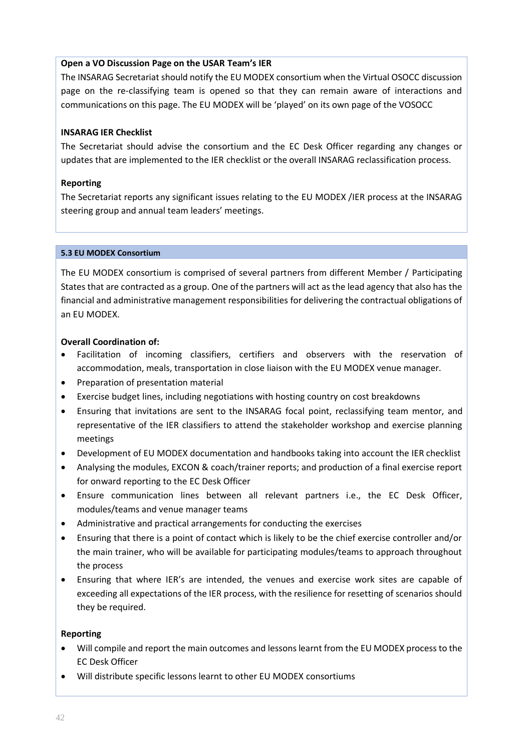## **Open a VO Discussion Page on the USAR Team's IER**

The INSARAG Secretariat should notify the EU MODEX consortium when the Virtual OSOCC discussion page on the re-classifying team is opened so that they can remain aware of interactions and communications on this page. The EU MODEX will be 'played' on its own page of the VOSOCC

## **INSARAG IER Checklist**

The Secretariat should advise the consortium and the EC Desk Officer regarding any changes or updates that are implemented to the IER checklist or the overall INSARAG reclassification process.

## **Reporting**

The Secretariat reports any significant issues relating to the EU MODEX /IER process at the INSARAG steering group and annual team leaders' meetings.

#### <span id="page-41-0"></span>**5.3 EU MODEX Consortium**

The EU MODEX consortium is comprised of several partners from different Member / Participating States that are contracted as a group. One of the partners will act as the lead agency that also has the financial and administrative management responsibilities for delivering the contractual obligations of an EU MODEX.

#### **Overall Coordination of:**

- Facilitation of incoming classifiers, certifiers and observers with the reservation of accommodation, meals, transportation in close liaison with the EU MODEX venue manager.
- Preparation of presentation material
- Exercise budget lines, including negotiations with hosting country on cost breakdowns
- Ensuring that invitations are sent to the INSARAG focal point, reclassifying team mentor, and representative of the IER classifiers to attend the stakeholder workshop and exercise planning meetings
- Development of EU MODEX documentation and handbooks taking into account the IER checklist
- Analysing the modules, EXCON & coach/trainer reports; and production of a final exercise report for onward reporting to the EC Desk Officer
- Ensure communication lines between all relevant partners i.e., the EC Desk Officer, modules/teams and venue manager teams
- Administrative and practical arrangements for conducting the exercises
- Ensuring that there is a point of contact which is likely to be the chief exercise controller and/or the main trainer, who will be available for participating modules/teams to approach throughout the process
- Ensuring that where IER's are intended, the venues and exercise work sites are capable of exceeding all expectations of the IER process, with the resilience for resetting of scenarios should they be required.

#### **Reporting**

- Will compile and report the main outcomes and lessons learnt from the EU MODEX process to the EC Desk Officer
- Will distribute specific lessons learnt to other EU MODEX consortiums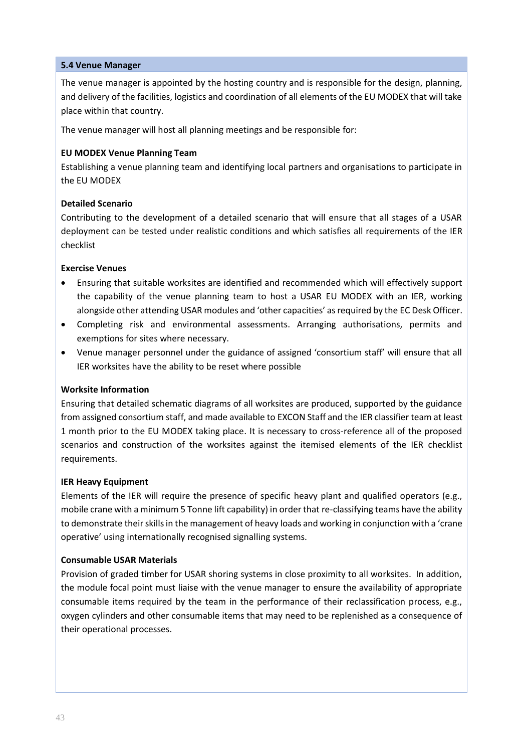## <span id="page-42-0"></span>**5.4 Venue Manager**

The venue manager is appointed by the hosting country and is responsible for the design, planning, and delivery of the facilities, logistics and coordination of all elements of the EU MODEX that will take place within that country.

The venue manager will host all planning meetings and be responsible for:

## **EU MODEX Venue Planning Team**

Establishing a venue planning team and identifying local partners and organisations to participate in the EU MODEX

## **Detailed Scenario**

Contributing to the development of a detailed scenario that will ensure that all stages of a USAR deployment can be tested under realistic conditions and which satisfies all requirements of the IER checklist

#### **Exercise Venues**

- Ensuring that suitable worksites are identified and recommended which will effectively support the capability of the venue planning team to host a USAR EU MODEX with an IER, working alongside other attending USAR modules and 'other capacities' as required by the EC Desk Officer.
- Completing risk and environmental assessments. Arranging authorisations, permits and exemptions for sites where necessary.
- Venue manager personnel under the guidance of assigned 'consortium staff' will ensure that all IER worksites have the ability to be reset where possible

# **Worksite Information**

Ensuring that detailed schematic diagrams of all worksites are produced, supported by the guidance from assigned consortium staff, and made available to EXCON Staff and the IER classifier team at least 1 month prior to the EU MODEX taking place. It is necessary to cross-reference all of the proposed scenarios and construction of the worksites against the itemised elements of the IER checklist requirements.

#### **IER Heavy Equipment**

Elements of the IER will require the presence of specific heavy plant and qualified operators (e.g., mobile crane with a minimum 5 Tonne lift capability) in order that re-classifying teams have the ability to demonstrate their skills in the management of heavy loads and working in conjunction with a 'crane operative' using internationally recognised signalling systems.

#### **Consumable USAR Materials**

Provision of graded timber for USAR shoring systems in close proximity to all worksites. In addition, the module focal point must liaise with the venue manager to ensure the availability of appropriate consumable items required by the team in the performance of their reclassification process, e.g., oxygen cylinders and other consumable items that may need to be replenished as a consequence of their operational processes.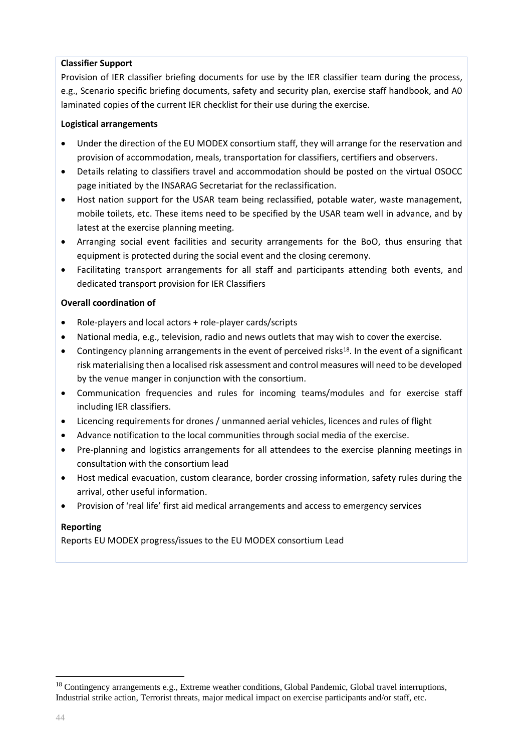## **Classifier Support**

Provision of IER classifier briefing documents for use by the IER classifier team during the process, e.g., Scenario specific briefing documents, safety and security plan, exercise staff handbook, and A0 laminated copies of the current IER checklist for their use during the exercise.

## **Logistical arrangements**

- Under the direction of the EU MODEX consortium staff, they will arrange for the reservation and provision of accommodation, meals, transportation for classifiers, certifiers and observers.
- Details relating to classifiers travel and accommodation should be posted on the virtual OSOCC page initiated by the INSARAG Secretariat for the reclassification.
- Host nation support for the USAR team being reclassified, potable water, waste management, mobile toilets, etc. These items need to be specified by the USAR team well in advance, and by latest at the exercise planning meeting.
- Arranging social event facilities and security arrangements for the BoO, thus ensuring that equipment is protected during the social event and the closing ceremony.
- Facilitating transport arrangements for all staff and participants attending both events, and dedicated transport provision for IER Classifiers

## **Overall coordination of**

- Role-players and local actors + role-player cards/scripts
- National media, e.g., television, radio and news outlets that may wish to cover the exercise.
- Contingency planning arrangements in the event of perceived risks<sup>18</sup>. In the event of a significant risk materialising then a localised risk assessment and control measures will need to be developed by the venue manger in conjunction with the consortium.
- Communication frequencies and rules for incoming teams/modules and for exercise staff including IER classifiers.
- Licencing requirements for drones / unmanned aerial vehicles, licences and rules of flight
- Advance notification to the local communities through social media of the exercise.
- Pre-planning and logistics arrangements for all attendees to the exercise planning meetings in consultation with the consortium lead
- Host medical evacuation, custom clearance, border crossing information, safety rules during the arrival, other useful information.
- Provision of 'real life' first aid medical arrangements and access to emergency services

# **Reporting**

Reports EU MODEX progress/issues to the EU MODEX consortium Lead

<sup>&</sup>lt;sup>18</sup> Contingency arrangements e.g., Extreme weather conditions, Global Pandemic, Global travel interruptions, Industrial strike action, Terrorist threats, major medical impact on exercise participants and/or staff, etc.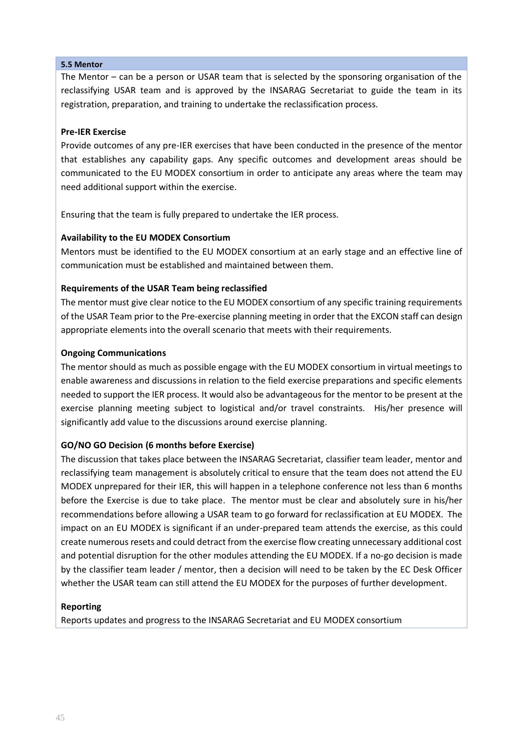#### <span id="page-44-0"></span>**5.5 Mentor**

The Mentor – can be a person or USAR team that is selected by the sponsoring organisation of the reclassifying USAR team and is approved by the INSARAG Secretariat to guide the team in its registration, preparation, and training to undertake the reclassification process.

## **Pre-IER Exercise**

Provide outcomes of any pre-IER exercises that have been conducted in the presence of the mentor that establishes any capability gaps. Any specific outcomes and development areas should be communicated to the EU MODEX consortium in order to anticipate any areas where the team may need additional support within the exercise.

Ensuring that the team is fully prepared to undertake the IER process.

#### **Availability to the EU MODEX Consortium**

Mentors must be identified to the EU MODEX consortium at an early stage and an effective line of communication must be established and maintained between them.

#### **Requirements of the USAR Team being reclassified**

The mentor must give clear notice to the EU MODEX consortium of any specific training requirements of the USAR Team prior to the Pre-exercise planning meeting in order that the EXCON staff can design appropriate elements into the overall scenario that meets with their requirements.

#### **Ongoing Communications**

The mentor should as much as possible engage with the EU MODEX consortium in virtual meetings to enable awareness and discussions in relation to the field exercise preparations and specific elements needed to support the IER process. It would also be advantageous for the mentor to be present at the exercise planning meeting subject to logistical and/or travel constraints. His/her presence will significantly add value to the discussions around exercise planning.

#### **GO/NO GO Decision (6 months before Exercise)**

The discussion that takes place between the INSARAG Secretariat, classifier team leader, mentor and reclassifying team management is absolutely critical to ensure that the team does not attend the EU MODEX unprepared for their IER, this will happen in a telephone conference not less than 6 months before the Exercise is due to take place. The mentor must be clear and absolutely sure in his/her recommendations before allowing a USAR team to go forward for reclassification at EU MODEX. The impact on an EU MODEX is significant if an under-prepared team attends the exercise, as this could create numerous resets and could detract from the exercise flow creating unnecessary additional cost and potential disruption for the other modules attending the EU MODEX. If a no-go decision is made by the classifier team leader / mentor, then a decision will need to be taken by the EC Desk Officer whether the USAR team can still attend the EU MODEX for the purposes of further development.

#### **Reporting**

Reports updates and progress to the INSARAG Secretariat and EU MODEX consortium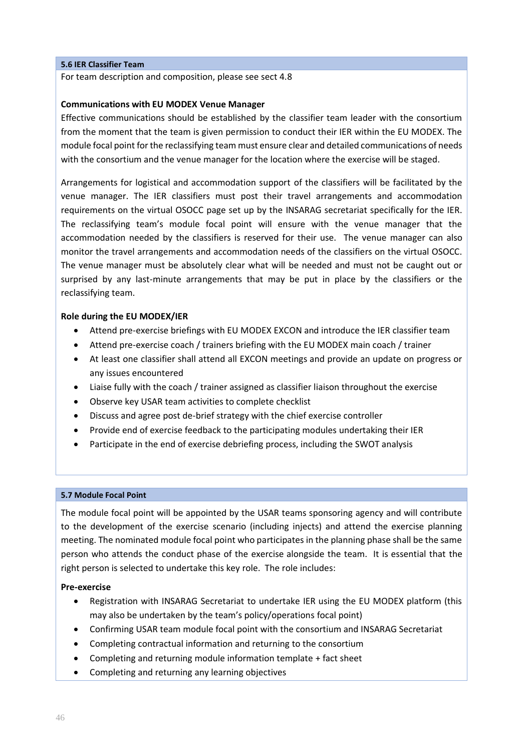#### <span id="page-45-0"></span>**5.6 IER Classifier Team**

For team description and composition, please see sect 4.8

#### **Communications with EU MODEX Venue Manager**

Effective communications should be established by the classifier team leader with the consortium from the moment that the team is given permission to conduct their IER within the EU MODEX. The module focal point for the reclassifying team must ensure clear and detailed communications of needs with the consortium and the venue manager for the location where the exercise will be staged.

Arrangements for logistical and accommodation support of the classifiers will be facilitated by the venue manager. The IER classifiers must post their travel arrangements and accommodation requirements on the virtual OSOCC page set up by the INSARAG secretariat specifically for the IER. The reclassifying team's module focal point will ensure with the venue manager that the accommodation needed by the classifiers is reserved for their use. The venue manager can also monitor the travel arrangements and accommodation needs of the classifiers on the virtual OSOCC. The venue manager must be absolutely clear what will be needed and must not be caught out or surprised by any last-minute arrangements that may be put in place by the classifiers or the reclassifying team.

#### **Role during the EU MODEX/IER**

- Attend pre-exercise briefings with EU MODEX EXCON and introduce the IER classifier team
- Attend pre-exercise coach / trainers briefing with the EU MODEX main coach / trainer
- At least one classifier shall attend all EXCON meetings and provide an update on progress or any issues encountered
- Liaise fully with the coach / trainer assigned as classifier liaison throughout the exercise
- Observe key USAR team activities to complete checklist
- Discuss and agree post de-brief strategy with the chief exercise controller
- Provide end of exercise feedback to the participating modules undertaking their IER
- Participate in the end of exercise debriefing process, including the SWOT analysis

#### <span id="page-45-1"></span>**5.7 Module Focal Point**

The module focal point will be appointed by the USAR teams sponsoring agency and will contribute to the development of the exercise scenario (including injects) and attend the exercise planning meeting. The nominated module focal point who participates in the planning phase shall be the same person who attends the conduct phase of the exercise alongside the team. It is essential that the right person is selected to undertake this key role. The role includes:

#### **Pre-exercise**

- Registration with INSARAG Secretariat to undertake IER using the EU MODEX platform (this may also be undertaken by the team's policy/operations focal point)
- Confirming USAR team module focal point with the consortium and INSARAG Secretariat
- Completing contractual information and returning to the consortium
- Completing and returning module information template + fact sheet
- Completing and returning any learning objectives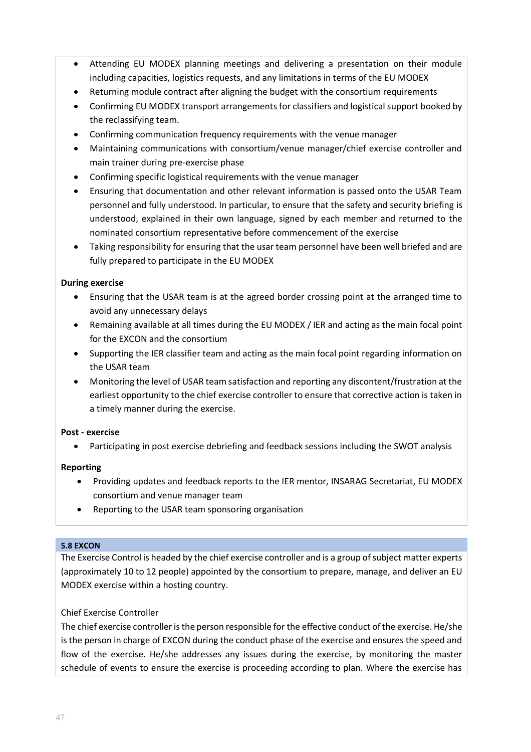- Attending EU MODEX planning meetings and delivering a presentation on their module including capacities, logistics requests, and any limitations in terms of the EU MODEX
- Returning module contract after aligning the budget with the consortium requirements
- Confirming EU MODEX transport arrangements for classifiers and logistical support booked by the reclassifying team.
- Confirming communication frequency requirements with the venue manager
- Maintaining communications with consortium/venue manager/chief exercise controller and main trainer during pre-exercise phase
- Confirming specific logistical requirements with the venue manager
- Ensuring that documentation and other relevant information is passed onto the USAR Team personnel and fully understood. In particular, to ensure that the safety and security briefing is understood, explained in their own language, signed by each member and returned to the nominated consortium representative before commencement of the exercise
- Taking responsibility for ensuring that the usar team personnel have been well briefed and are fully prepared to participate in the EU MODEX

## **During exercise**

- Ensuring that the USAR team is at the agreed border crossing point at the arranged time to avoid any unnecessary delays
- Remaining available at all times during the EU MODEX / IER and acting as the main focal point for the EXCON and the consortium
- Supporting the IER classifier team and acting as the main focal point regarding information on the USAR team
- Monitoring the level of USAR team satisfaction and reporting any discontent/frustration at the earliest opportunity to the chief exercise controller to ensure that corrective action is taken in a timely manner during the exercise.

# **Post - exercise**

• Participating in post exercise debriefing and feedback sessions including the SWOT analysis

# **Reporting**

- Providing updates and feedback reports to the IER mentor, INSARAG Secretariat, EU MODEX consortium and venue manager team
- Reporting to the USAR team sponsoring organisation

#### <span id="page-46-0"></span>**5.8 EXCON**

The Exercise Control is headed by the chief exercise controller and is a group of subject matter experts (approximately 10 to 12 people) appointed by the consortium to prepare, manage, and deliver an EU MODEX exercise within a hosting country.

#### Chief Exercise Controller

The chief exercise controller is the person responsible for the effective conduct of the exercise. He/she is the person in charge of EXCON during the conduct phase of the exercise and ensures the speed and flow of the exercise. He/she addresses any issues during the exercise, by monitoring the master schedule of events to ensure the exercise is proceeding according to plan. Where the exercise has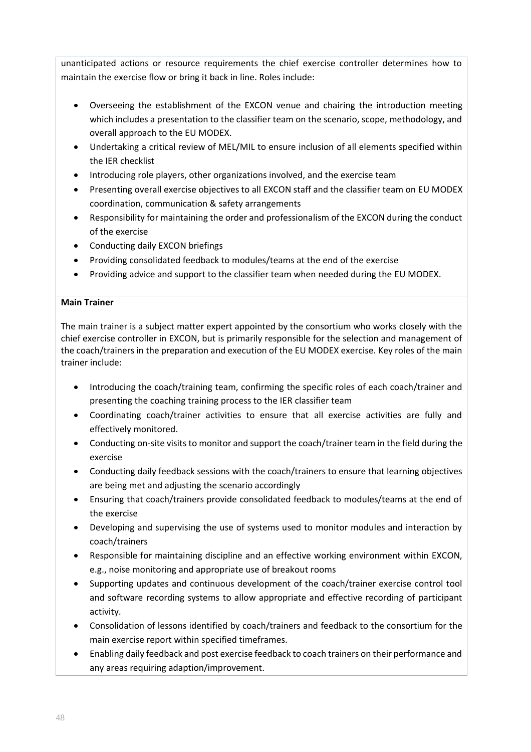unanticipated actions or resource requirements the chief exercise controller determines how to maintain the exercise flow or bring it back in line. Roles include:

- Overseeing the establishment of the EXCON venue and chairing the introduction meeting which includes a presentation to the classifier team on the scenario, scope, methodology, and overall approach to the EU MODEX.
- Undertaking a critical review of MEL/MIL to ensure inclusion of all elements specified within the IER checklist
- Introducing role players, other organizations involved, and the exercise team
- Presenting overall exercise objectives to all EXCON staff and the classifier team on EU MODEX coordination, communication & safety arrangements
- Responsibility for maintaining the order and professionalism of the EXCON during the conduct of the exercise
- Conducting daily EXCON briefings
- Providing consolidated feedback to modules/teams at the end of the exercise
- Providing advice and support to the classifier team when needed during the EU MODEX.

## **Main Trainer**

The main trainer is a subject matter expert appointed by the consortium who works closely with the chief exercise controller in EXCON, but is primarily responsible for the selection and management of the coach/trainers in the preparation and execution of the EU MODEX exercise. Key roles of the main trainer include:

- Introducing the coach/training team, confirming the specific roles of each coach/trainer and presenting the coaching training process to the IER classifier team
- Coordinating coach/trainer activities to ensure that all exercise activities are fully and effectively monitored.
- Conducting on-site visits to monitor and support the coach/trainer team in the field during the exercise
- Conducting daily feedback sessions with the coach/trainers to ensure that learning objectives are being met and adjusting the scenario accordingly
- Ensuring that coach/trainers provide consolidated feedback to modules/teams at the end of the exercise
- Developing and supervising the use of systems used to monitor modules and interaction by coach/trainers
- Responsible for maintaining discipline and an effective working environment within EXCON, e.g., noise monitoring and appropriate use of breakout rooms
- Supporting updates and continuous development of the coach/trainer exercise control tool and software recording systems to allow appropriate and effective recording of participant activity.
- Consolidation of lessons identified by coach/trainers and feedback to the consortium for the main exercise report within specified timeframes.
- Enabling daily feedback and post exercise feedback to coach trainers on their performance and any areas requiring adaption/improvement.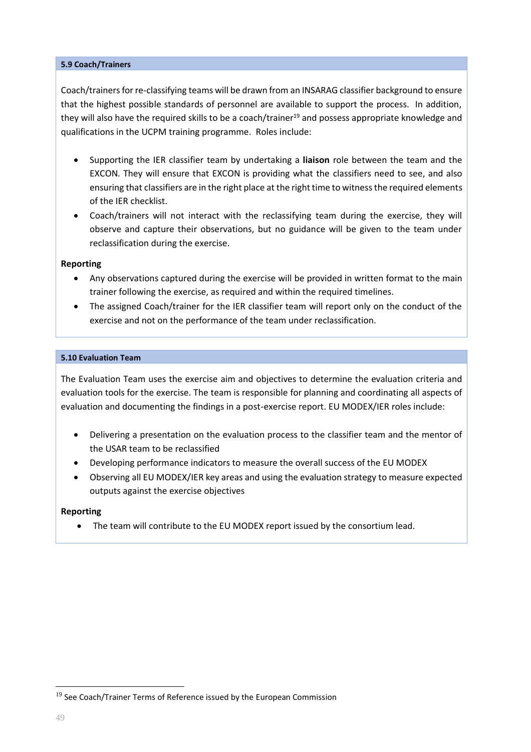#### <span id="page-48-0"></span>**5.9 Coach/Trainers**

Coach/trainers for re-classifying teams will be drawn from an INSARAG classifier background to ensure that the highest possible standards of personnel are available to support the process. In addition, they will also have the required skills to be a coach/trainer<sup>19</sup> and possess appropriate knowledge and qualifications in the UCPM training programme. Roles include:

- Supporting the IER classifier team by undertaking a **liaison** role between the team and the EXCON. They will ensure that EXCON is providing what the classifiers need to see, and also ensuring that classifiers are in the right place at the right time to witness the required elements of the IER checklist.
- Coach/trainers will not interact with the reclassifying team during the exercise, they will observe and capture their observations, but no guidance will be given to the team under reclassification during the exercise.

#### **Reporting**

- Any observations captured during the exercise will be provided in written format to the main trainer following the exercise, as required and within the required timelines.
- The assigned Coach/trainer for the IER classifier team will report only on the conduct of the exercise and not on the performance of the team under reclassification.

#### <span id="page-48-1"></span>**5.10 Evaluation Team**

The Evaluation Team uses the exercise aim and objectives to determine the evaluation criteria and evaluation tools for the exercise. The team is responsible for planning and coordinating all aspects of evaluation and documenting the findings in a post-exercise report. EU MODEX/IER roles include:

- Delivering a presentation on the evaluation process to the classifier team and the mentor of the USAR team to be reclassified
- Developing performance indicators to measure the overall success of the EU MODEX
- Observing all EU MODEX/IER key areas and using the evaluation strategy to measure expected outputs against the exercise objectives

#### **Reporting**

The team will contribute to the EU MODEX report issued by the consortium lead.

 $19$  See Coach/Trainer Terms of Reference issued by the European Commission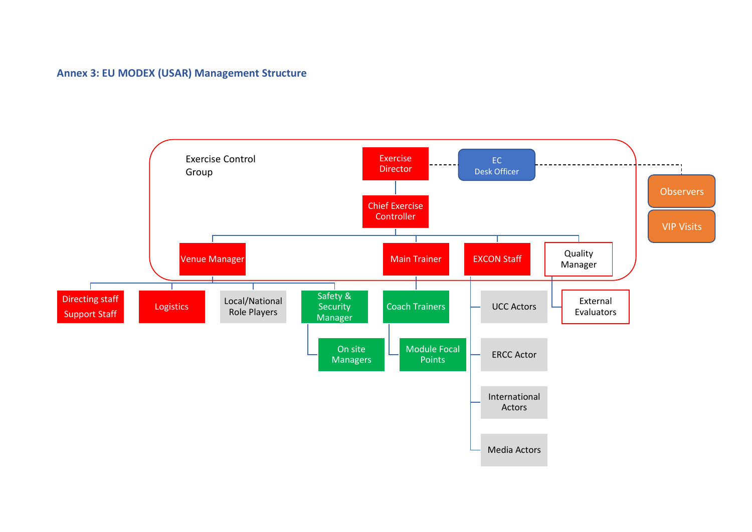# **Annex 3: EU MODEX (USAR) Management Structure**

<span id="page-49-0"></span>